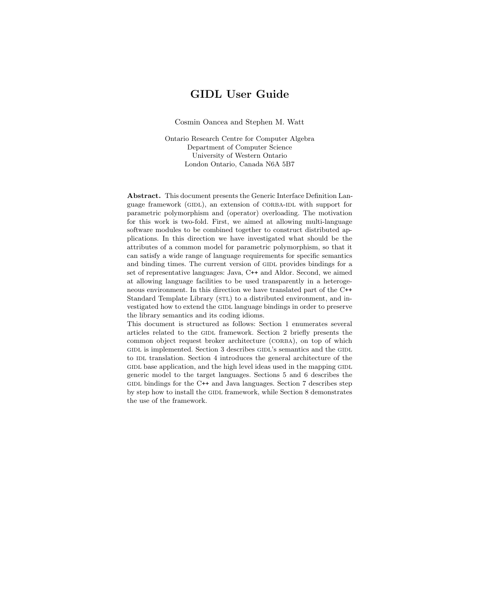# GIDL User Guide

Cosmin Oancea and Stephen M. Watt

Ontario Research Centre for Computer Algebra Department of Computer Science University of Western Ontario London Ontario, Canada N6A 5B7

Abstract. This document presents the Generic Interface Definition Language framework (GIDL), an extension of CORBA-IDL with support for parametric polymorphism and (operator) overloading. The motivation for this work is two-fold. First, we aimed at allowing multi-language software modules to be combined together to construct distributed applications. In this direction we have investigated what should be the attributes of a common model for parametric polymorphism, so that it can satisfy a wide range of language requirements for specific semantics and binding times. The current version of GIDL provides bindings for a set of representative languages: Java, C++ and Aldor. Second, we aimed at allowing language facilities to be used transparently in a heterogeneous environment. In this direction we have translated part of the C++ Standard Template Library (STL) to a distributed environment, and investigated how to extend the GIDL language bindings in order to preserve the library semantics and its coding idioms.

This document is structured as follows: Section 1 enumerates several articles related to the GIDL framework. Section 2 briefly presents the common object request broker architecture (CORBA), on top of which GIDL is implemented. Section 3 describes GIDL's semantics and the GIDL to IDL translation. Section 4 introduces the general architecture of the GIDL base application, and the high level ideas used in the mapping GIDL generic model to the target languages. Sections 5 and 6 describes the GIDL bindings for the  $C++$  and Java languages. Section 7 describes step by step how to install the GIDL framework, while Section 8 demonstrates the use of the framework.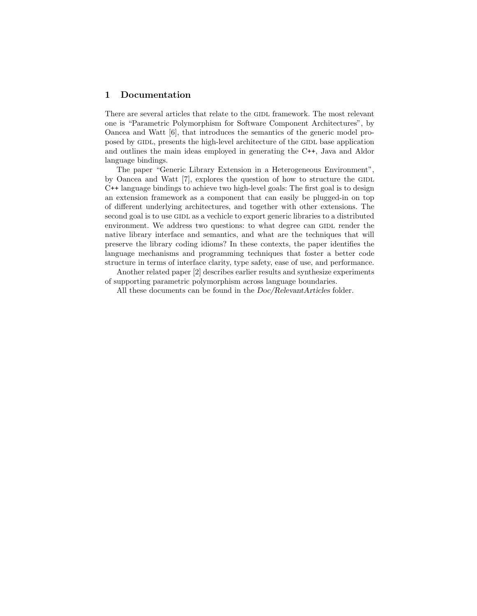# 1 Documentation

There are several articles that relate to the GIDL framework. The most relevant one is "Parametric Polymorphism for Software Component Architectures", by Oancea and Watt [6], that introduces the semantics of the generic model proposed by GIDL, presents the high-level architecture of the GIDL base application and outlines the main ideas employed in generating the C++, Java and Aldor language bindings.

The paper "Generic Library Extension in a Heterogeneous Environment", by Oancea and Watt  $[7]$ , explores the question of how to structure the GIDL C++ language bindings to achieve two high-level goals: The first goal is to design an extension framework as a component that can easily be plugged-in on top of different underlying architectures, and together with other extensions. The second goal is to use GIDL as a vechicle to export generic libraries to a distributed environment. We address two questions: to what degree can GIDL render the native library interface and semantics, and what are the techniques that will preserve the library coding idioms? In these contexts, the paper identifies the language mechanisms and programming techniques that foster a better code structure in terms of interface clarity, type safety, ease of use, and performance.

Another related paper [2] describes earlier results and synthesize experiments of supporting parametric polymorphism across language boundaries.

All these documents can be found in the Doc/RelevantArticles folder.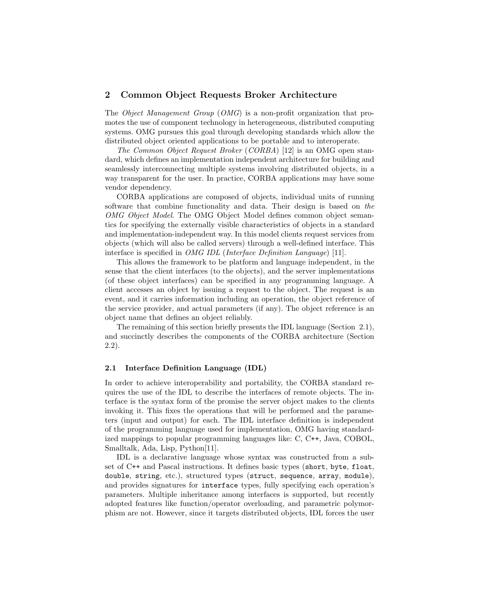# 2 Common Object Requests Broker Architecture

The Object Management Group (OMG) is a non-profit organization that promotes the use of component technology in heterogeneous, distributed computing systems. OMG pursues this goal through developing standards which allow the distributed object oriented applications to be portable and to interoperate.

The Common Object Request Broker (CORBA) [12] is an OMG open standard, which defines an implementation independent architecture for building and seamlessly interconnecting multiple systems involving distributed objects, in a way transparent for the user. In practice, CORBA applications may have some vendor dependency.

CORBA applications are composed of objects, individual units of running software that combine functionality and data. Their design is based on the OMG Object Model. The OMG Object Model defines common object semantics for specifying the externally visible characteristics of objects in a standard and implementation-independent way. In this model clients request services from objects (which will also be called servers) through a well-defined interface. This interface is specified in OMG IDL (Interface Definition Language) [11].

This allows the framework to be platform and language independent, in the sense that the client interfaces (to the objects), and the server implementations (of these object interfaces) can be specified in any programming language. A client accesses an object by issuing a request to the object. The request is an event, and it carries information including an operation, the object reference of the service provider, and actual parameters (if any). The object reference is an object name that defines an object reliably.

The remaining of this section briefly presents the IDL language (Section 2.1), and succinctly describes the components of the CORBA architecture (Section 2.2).

# 2.1 Interface Definition Language (IDL)

In order to achieve interoperability and portability, the CORBA standard requires the use of the IDL to describe the interfaces of remote objects. The interface is the syntax form of the promise the server object makes to the clients invoking it. This fixes the operations that will be performed and the parameters (input and output) for each. The IDL interface definition is independent of the programming language used for implementation, OMG having standardized mappings to popular programming languages like: C, C++, Java, COBOL, Smalltalk, Ada, Lisp, Python[11].

IDL is a declarative language whose syntax was constructed from a subset of C++ and Pascal instructions. It defines basic types (short, byte, float, double, string, etc.), structured types (struct, sequence, array, module), and provides signatures for interface types, fully specifying each operation's parameters. Multiple inheritance among interfaces is supported, but recently adopted features like function/operator overloading, and parametric polymorphism are not. However, since it targets distributed objects, IDL forces the user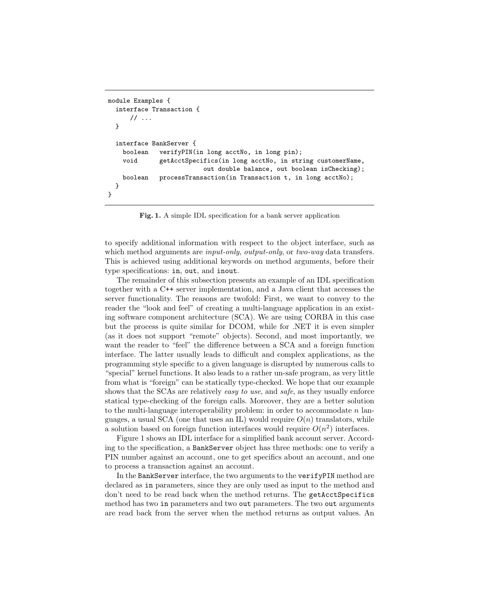```
module Examples {
  interface Transaction {
      // ...
 }
  interface BankServer {
   boolean verifyPIN(in long acctNo, in long pin);
   void getAcctSpecifics(in long acctNo, in string customerName,
                          out double balance, out boolean isChecking);
   boolean processTransaction(in Transaction t, in long acctNo);
  }
}
```
Fig. 1. A simple IDL specification for a bank server application

to specify additional information with respect to the object interface, such as which method arguments are *input-only*, *output-only*, or *two-way* data transfers. This is achieved using additional keywords on method arguments, before their type specifications: in, out, and inout.

The remainder of this subsection presents an example of an IDL specification together with a C++ server implementation, and a Java client that accesses the server functionality. The reasons are twofold: First, we want to convey to the reader the "look and feel" of creating a multi-language application in an existing software component architecture (SCA). We are using CORBA in this case but the process is quite similar for DCOM, while for .NET it is even simpler (as it does not support "remote" objects). Second, and most importantly, we want the reader to "feel" the difference between a SCA and a foreign function interface. The latter usually leads to difficult and complex applications, as the programming style specific to a given language is disrupted by numerous calls to "special" kernel functions. It also leads to a rather un-safe program, as very little from what is "foreign" can be statically type-checked. We hope that our example shows that the SCAs are relatively easy to use, and safe, as they usually enforce statical type-checking of the foreign calls. Moreover, they are a better solution to the multi-language interoperability problem: in order to accommodate  $n$  languages, a usual SCA (one that uses an IL) would require  $O(n)$  translators, while a solution based on foreign function interfaces would require  $O(n^2)$  interfaces.

Figure 1 shows an IDL interface for a simplified bank account server. According to the specification, a BankServer object has three methods: one to verify a PIN number against an account, one to get specifics about an account, and one to process a transaction against an account.

In the BankServer interface, the two arguments to the verifyPIN method are declared as in parameters, since they are only used as input to the method and don't need to be read back when the method returns. The getAcctSpecifics method has two in parameters and two out parameters. The two out arguments are read back from the server when the method returns as output values. An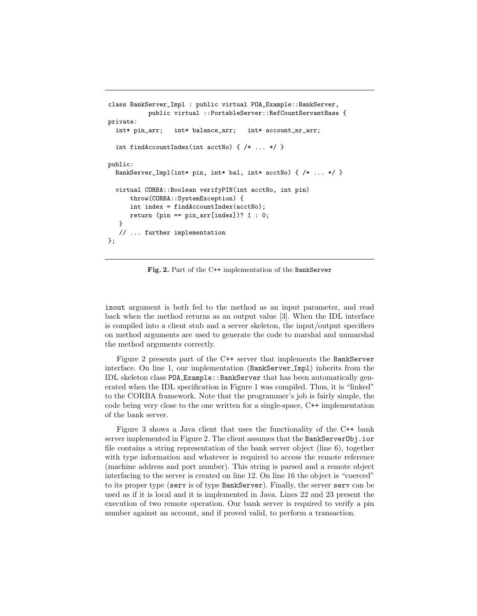```
class BankServer_Impl : public virtual POA_Example::BankServer,
           public virtual ::PortableServer::RefCountServantBase {
private:
  int* pin_arr; int* balance_arr; int* account_nr_arr;
  int findAccountIndex(int acctNo) { /* \ldots */public:
 BankServer_Impl(int* pin, int* bal, int* acctNo) { /* \ldots */virtual CORBA::Boolean verifyPIN(int acctNo, int pin)
      throw(CORBA::SystemException) {
      int index = findAccountIndex(acctNo);
      return (pin == pin\_arr[index])? 1 : 0;
  }
   // ... further implementation
};
```
Fig. 2. Part of the C++ implementation of the BankServer

inout argument is both fed to the method as an input parameter, and read back when the method returns as an output value [3]. When the IDL interface is compiled into a client stub and a server skeleton, the input/output specifiers on method arguments are used to generate the code to marshal and unmarshal the method arguments correctly.

Figure 2 presents part of the C++ server that implements the BankServer interface. On line 1, our implementation (BankServer Impl) inherits from the IDL skeleton class POA Example::BankServer that has been automatically generated when the IDL specification in Figure 1 was compiled. Thus, it is "linked" to the CORBA framework. Note that the programmer's job is fairly simple, the code being very close to the one written for a single-space, C++ implementation of the bank server.

Figure 3 shows a Java client that uses the functionality of the C++ bank server implemented in Figure 2. The client assumes that the BankServerObj.ior file contains a string representation of the bank server object (line 6), together with type information and whatever is required to access the remote reference (machine address and port number). This string is parsed and a remote object interfacing to the server is created on line 12. On line 16 the object is "coerced" to its proper type (serv is of type BankServer). Finally, the server serv can be used as if it is local and it is implemented in Java. Lines 22 and 23 present the execution of two remote operation. Our bank server is required to verify a pin number against an account, and if proved valid, to perform a transaction.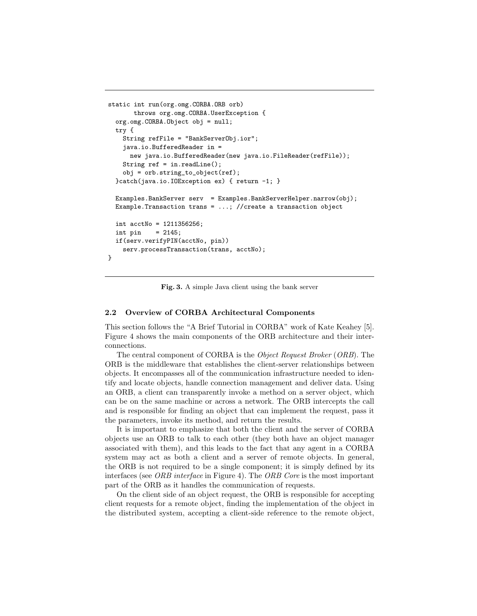```
static int run(org.omg.CORBA.ORB orb)
      throws org.omg.CORBA.UserException {
 org.omg.CORBA.Object obj = null;
 try {
   String refFile = "BankServerObj.ior";
   java.io.BufferedReader in =
     new java.io.BufferedReader(new java.io.FileReader(refFile));
   String ref = in.readLine();
   obj = orb.string_to_object(ref);
 }catch(java.io.IOException ex) { return -1; }
 Examples.BankServer serv = Examples.BankServerHelper.narrow(obj);
 Example.Transaction trans = ...; //create a transaction object
 int acctNo = 1211356256;
 int \pi = 2145;
 if(serv.verifyPIN(acctNo, pin))
   serv.processTransaction(trans, acctNo);
}
```
Fig. 3. A simple Java client using the bank server

### 2.2 Overview of CORBA Architectural Components

This section follows the "A Brief Tutorial in CORBA" work of Kate Keahey [5]. Figure 4 shows the main components of the ORB architecture and their interconnections.

The central component of CORBA is the Object Request Broker (ORB). The ORB is the middleware that establishes the client-server relationships between objects. It encompasses all of the communication infrastructure needed to identify and locate objects, handle connection management and deliver data. Using an ORB, a client can transparently invoke a method on a server object, which can be on the same machine or across a network. The ORB intercepts the call and is responsible for finding an object that can implement the request, pass it the parameters, invoke its method, and return the results.

It is important to emphasize that both the client and the server of CORBA objects use an ORB to talk to each other (they both have an object manager associated with them), and this leads to the fact that any agent in a CORBA system may act as both a client and a server of remote objects. In general, the ORB is not required to be a single component; it is simply defined by its interfaces (see ORB interface in Figure 4). The ORB Core is the most important part of the ORB as it handles the communication of requests.

On the client side of an object request, the ORB is responsible for accepting client requests for a remote object, finding the implementation of the object in the distributed system, accepting a client-side reference to the remote object,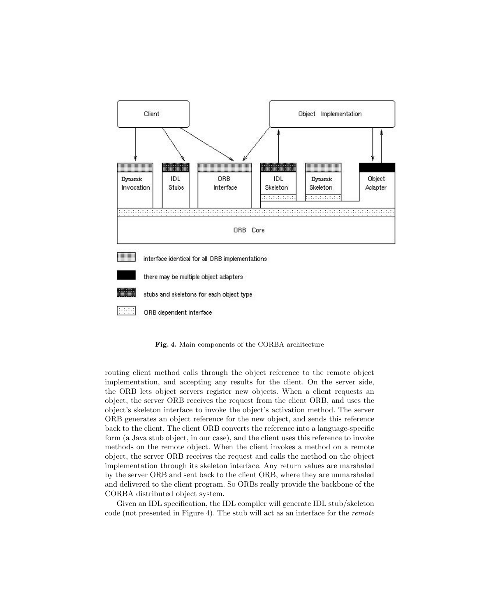

Fig. 4. Main components of the CORBA architecture

routing client method calls through the object reference to the remote object implementation, and accepting any results for the client. On the server side, the ORB lets object servers register new objects. When a client requests an object, the server ORB receives the request from the client ORB, and uses the object's skeleton interface to invoke the object's activation method. The server ORB generates an object reference for the new object, and sends this reference back to the client. The client ORB converts the reference into a language-specific form (a Java stub object, in our case), and the client uses this reference to invoke methods on the remote object. When the client invokes a method on a remote object, the server ORB receives the request and calls the method on the object implementation through its skeleton interface. Any return values are marshaled by the server ORB and sent back to the client ORB, where they are unmarshaled and delivered to the client program. So ORBs really provide the backbone of the CORBA distributed object system.

Given an IDL specification, the IDL compiler will generate IDL stub/skeleton code (not presented in Figure 4). The stub will act as an interface for the remote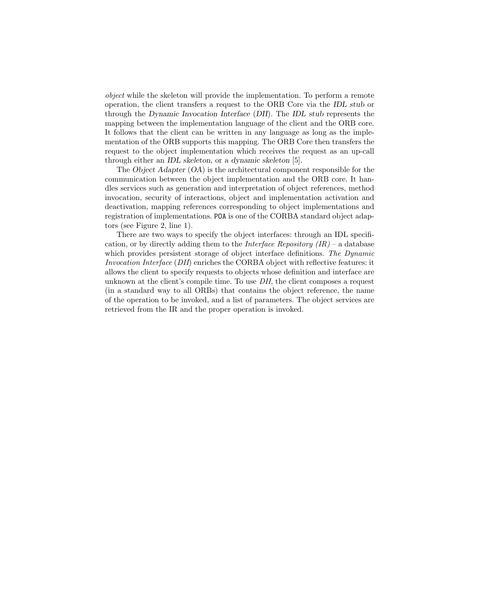object while the skeleton will provide the implementation. To perform a remote operation, the client transfers a request to the ORB Core via the IDL stub or through the Dynamic Invocation Interface (DII). The IDL stub represents the mapping between the implementation language of the client and the ORB core. It follows that the client can be written in any language as long as the implementation of the ORB supports this mapping. The ORB Core then transfers the request to the object implementation which receives the request as an up-call through either an IDL skeleton, or a dynamic skeleton [5].

The Object Adapter (OA) is the architectural component responsible for the communication between the object implementation and the ORB core. It handles services such as generation and interpretation of object references, method invocation, security of interactions, object and implementation activation and deactivation, mapping references corresponding to object implementations and registration of implementations. POA is one of the CORBA standard object adaptors (see Figure 2, line 1).

There are two ways to specify the object interfaces: through an IDL specification, or by directly adding them to the *Interface Repository*  $(IR)$  – a database which provides persistent storage of object interface definitions. The Dynamic Invocation Interface (DII) enriches the CORBA object with reflective features: it allows the client to specify requests to objects whose definition and interface are unknown at the client's compile time. To use DII, the client composes a request (in a standard way to all ORBs) that contains the object reference, the name of the operation to be invoked, and a list of parameters. The object services are retrieved from the IR and the proper operation is invoked.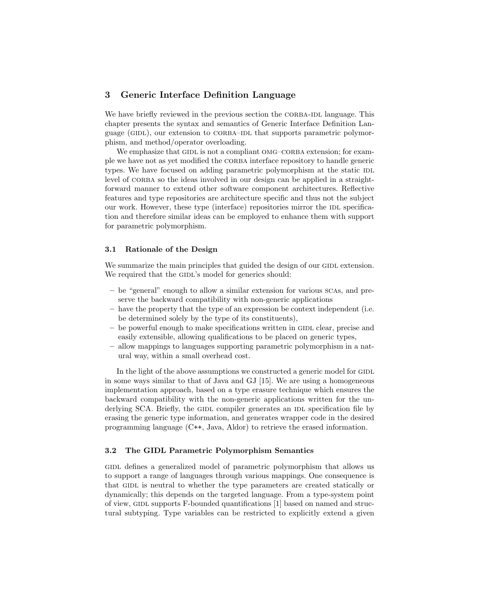# 3 Generic Interface Definition Language

We have briefly reviewed in the previous section the CORBA-IDL language. This chapter presents the syntax and semantics of Generic Interface Definition Language (GIDL), our extension to CORBA–IDL that supports parametric polymorphism, and method/operator overloading.

We emphasize that GIDL is not a compliant OMG–CORBA extension; for example we have not as yet modified the corba interface repository to handle generic types. We have focused on adding parametric polymorphism at the static IDL level of CORBA so the ideas involved in our design can be applied in a straightforward manner to extend other software component architectures. Reflective features and type repositories are architecture specific and thus not the subject our work. However, these type (interface) repositories mirror the IDL specification and therefore similar ideas can be employed to enhance them with support for parametric polymorphism.

#### 3.1 Rationale of the Design

We summarize the main principles that guided the design of our GIDL extension. We required that the GIDL's model for generics should:

- be "general" enough to allow a similar extension for various scas, and preserve the backward compatibility with non-generic applications
- have the property that the type of an expression be context independent (i.e. be determined solely by the type of its constituents),
- $-$  be powerful enough to make specifications written in GIDL clear, precise and easily extensible, allowing qualifications to be placed on generic types,
- allow mappings to languages supporting parametric polymorphism in a natural way, within a small overhead cost.

In the light of the above assumptions we constructed a generic model for GIDL in some ways similar to that of Java and GJ [15]. We are using a homogeneous implementation approach, based on a type erasure technique which ensures the backward compatibility with the non-generic applications written for the underlying SCA. Briefly, the GIDL compiler generates an IDL specification file by erasing the generic type information, and generates wrapper code in the desired programming language (C++, Java, Aldor) to retrieve the erased information.

# 3.2 The GIDL Parametric Polymorphism Semantics

gidl defines a generalized model of parametric polymorphism that allows us to support a range of languages through various mappings. One consequence is that GIDL is neutral to whether the type parameters are created statically or dynamically; this depends on the targeted language. From a type-system point of view, GIDL supports F-bounded quantifications [1] based on named and structural subtyping. Type variables can be restricted to explicitly extend a given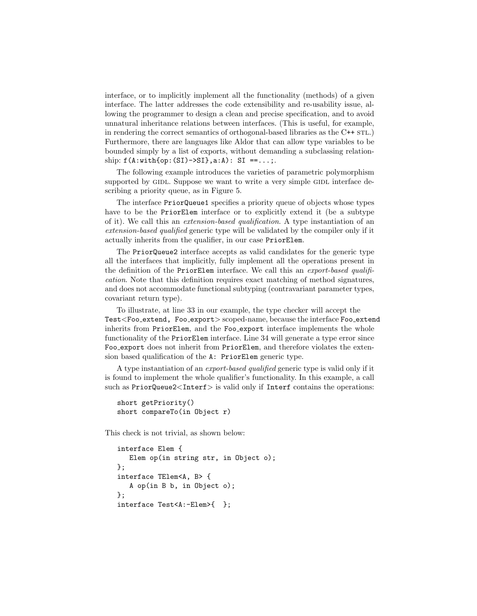interface, or to implicitly implement all the functionality (methods) of a given interface. The latter addresses the code extensibility and re-usability issue, allowing the programmer to design a clean and precise specification, and to avoid unnatural inheritance relations between interfaces. (This is useful, for example, in rendering the correct semantics of orthogonal-based libraries as the C++  $STL$ .) Furthermore, there are languages like Aldor that can allow type variables to be bounded simply by a list of exports, without demanding a subclassing relationship:  $f(A:with\{op:(SI)->SI\},a:A): SI ==...;$ .

The following example introduces the varieties of parametric polymorphism supported by GIDL. Suppose we want to write a very simple GIDL interface describing a priority queue, as in Figure 5.

The interface PriorQueue1 specifies a priority queue of objects whose types have to be the PriorElem interface or to explicitly extend it (be a subtype of it). We call this an extension-based qualification. A type instantiation of an extension-based qualified generic type will be validated by the compiler only if it actually inherits from the qualifier, in our case PriorElem.

The PriorQueue2 interface accepts as valid candidates for the generic type all the interfaces that implicitly, fully implement all the operations present in the definition of the PriorElem interface. We call this an export-based qualification. Note that this definition requires exact matching of method signatures, and does not accommodate functional subtyping (contravariant parameter types, covariant return type).

To illustrate, at line 33 in our example, the type checker will accept the Test<Foo extend, Foo export> scoped-name, because the interface Foo extend inherits from PriorElem, and the Foo export interface implements the whole functionality of the PriorElem interface. Line 34 will generate a type error since Foo export does not inherit from PriorElem, and therefore violates the extension based qualification of the A: PriorElem generic type.

A type instantiation of an export-based qualified generic type is valid only if it is found to implement the whole qualifier's functionality. In this example, a call such as  $PriorQueue2 < Interf$  is valid only if Interf contains the operations:

```
short getPriority()
short compareTo(in Object r)
```
This check is not trivial, as shown below:

```
interface Elem {
   Elem op(in string str, in Object o);
};
interface TElem<A, B> {
   A op(in B b, in Object o);
};
interface Test<A:-Elem>{ };
```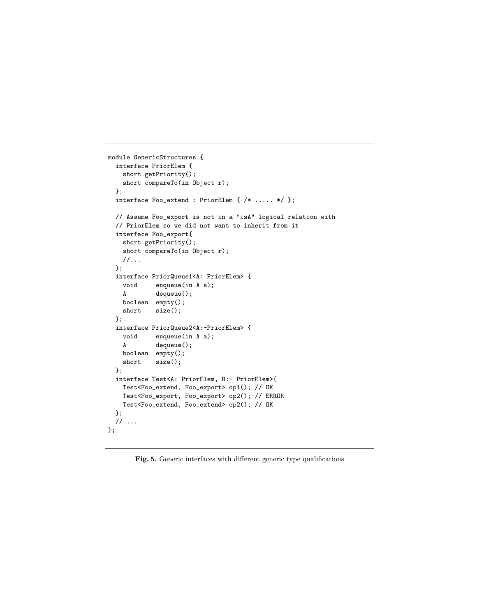```
module GenericStructures {
  interface PriorElem {
    short getPriority();
   short compareTo(in Object r);
  };
  interface Foo_extend : PriorElem { /* ..... */ };
  // Assume Foo_export is not in a "isA" logical relation with
  // PriorElem so we did not want to inherit from it
  interface Foo_export{
    short getPriority();
    short compareTo(in Object r);
    //...
 };
  interface PriorQueue1<A: PriorElem> {
    void enqueue(in A a);
   A dequeue();
   boolean empty();
    short size();
  };
  interface PriorQueue2<A:-PriorElem> {
    void enqueue(in A a);
    A dequeue();
    boolean empty();
    short size();
  };
  interface Test<A: PriorElem, B:- PriorElem>{
   Test<Foo_extend, Foo_export> op1(); // OK
   Test<Foo_export, Foo_export> op2(); // ERROR
    Test<Foo_extend, Foo_extend> op2(); // OK
 };
 // ...
};
```
Fig. 5. Generic interfaces with different generic type qualifications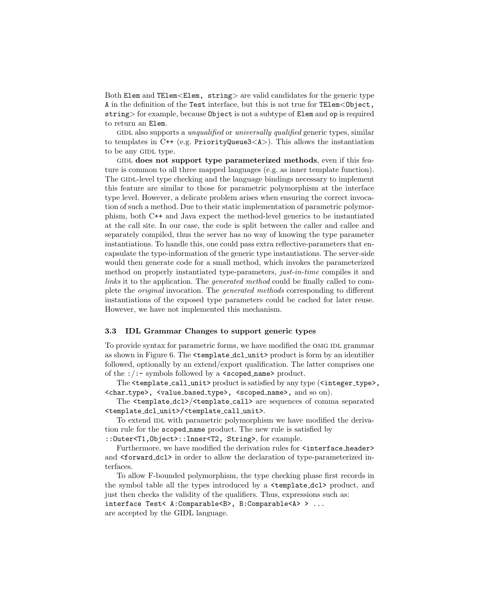Both Elem and TElem < Elem, string> are valid candidates for the generic type A in the definition of the Test interface, but this is not true for TElem<Dbject, string> for example, because Object is not a subtype of Elem and op is required to return an Elem.

GIDL also supports a *unqualified* or *universally qualified* generic types, similar to templates in C++ (e.g. PriorityQueue3 $\langle A \rangle$ ). This allows the instantiation to be any GIDL type.

GIDL does not support type parameterized methods, even if this feature is common to all three mapped languages (e.g. as inner template function). The GIDL-level type checking and the language bindings necessary to implement this feature are similar to those for parametric polymorphism at the interface type level. However, a delicate problem arises when ensuring the correct invocation of such a method. Due to their static implementation of parametric polymorphism, both C++ and Java expect the method-level generics to be instantiated at the call site. In our case, the code is split between the caller and callee and separately compiled, thus the server has no way of knowing the type parameter instantiations. To handle this, one could pass extra reflective-parameters that encapsulate the type-information of the generic type instantiations. The server-side would then generate code for a small method, which invokes the parameterized method on properly instantiated type-parameters, just-in-time compiles it and links it to the application. The *generated method* could be finally called to complete the original invocation. The generated methods corresponding to different instantiations of the exposed type parameters could be cached for later reuse. However, we have not implemented this mechanism.

# 3.3 IDL Grammar Changes to support generic types

To provide syntax for parametric forms, we have modified the OMG IDL grammar as shown in Figure 6. The <template\_dcl\_unit> product is form by an identifier followed, optionally by an extend/export qualification. The latter comprises one of the  $\cdot/$ :- symbols followed by a  $\leq$  scoped name product.

The <template\_call\_unit> product is satisfied by any type (<integer\_type>, <char type>, <value based type>, <scoped name>, and so on).

The <template\_dcl>/<template\_call> are sequences of comma separated <template dcl unit>/<template call unit>.

To extend IDL with parametric polymorphism we have modified the derivation rule for the scoped name product. The new rule is satisfied by ::Outer<T1,Object>::Inner<T2, String>, for example.

Furthermore, we have modified the derivation rules for  $\zeta$ interface header> and <forward\_dcl> in order to allow the declaration of type-parameterized in-

terfaces. To allow F-bounded polymorphism, the type checking phase first records in the symbol table all the types introduced by a **<template\_dcl>** product, and just then checks the validity of the qualifiers. Thus, expressions such as: interface Test< A:Comparable<B>, B:Comparable<A> > ...

are accepted by the GIDL language.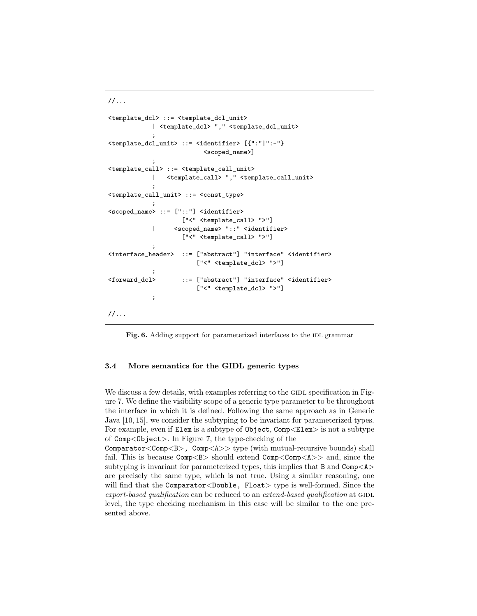```
//...
<template_dcl> ::= <template_dcl_unit>
            | <template_dcl> "," <template_dcl_unit>
            ;
<template_dcl_unit> ::= <identifier> [{":"|":-"}
                          <scoped_name>]
            ;
<template_call> ::= <template_call_unit>
            | <template_call> "," <template_call_unit>
            ;
<template_call_unit> ::= <const_type>
            ;
<scoped_name> ::= ["::"] <identifier>
                    ["<" <template_call> ">"]
            | <scoped_name> "::" <identifier>
                    ["<" <template_call> ">"]
            ;
<interface_header> ::= ["abstract"] "interface" <identifier>
                        ["<" <template_dcl> ">"]
            ;
<forward_dcl> ::= ["abstract"] "interface" <identifier>
                        ["<" <template_dcl> ">"]
            ;
//...
```
Fig. 6. Adding support for parameterized interfaces to the IDL grammar

# 3.4 More semantics for the GIDL generic types

We discuss a few details, with examples referring to the GIDL specification in Figure 7. We define the visibility scope of a generic type parameter to be throughout the interface in which it is defined. Following the same approach as in Generic Java [10, 15], we consider the subtyping to be invariant for parameterized types. For example, even if Elem is a subtype of Object, Comp<Elem> is not a subtype of Comp<Object>. In Figure 7, the type-checking of the

Comparator<Comp<B>, Comp<A>> type (with mutual-recursive bounds) shall fail. This is because  $Comp<\mathbb{B}$  should extend  $Comp<\emptyset>2$  and, since the subtyping is invariant for parameterized types, this implies that B and Comp $\lt$ A $>$ are precisely the same type, which is not true. Using a similar reasoning, one will find that the Comparator<Double, Float> type is well-formed. Since the  $export-based\ qualification\ can\ be\ reduced\ to\ an\ extend-based\ qualification\ at\ GIDL$ level, the type checking mechanism in this case will be similar to the one presented above.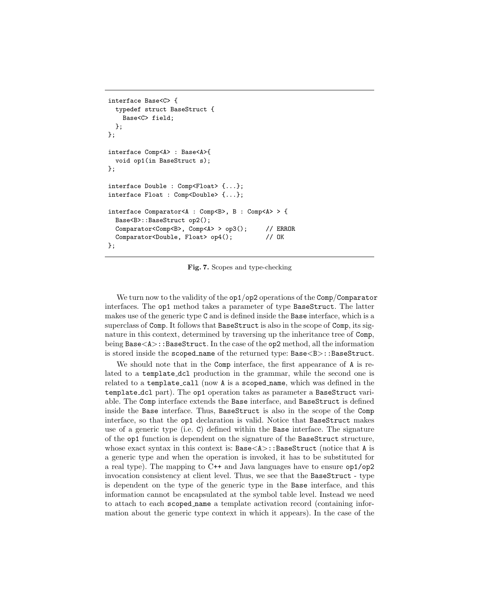```
interface Base<C> {
 typedef struct BaseStruct {
   Base<C> field;
 \cdot};
interface Comp<A> : Base<A>{
  void op1(in BaseStruct s);
};
interface Double : Comp<Float> {...};
interface Float : Comp<Double> {...};
interface Comparator<A : Comp<B>, B : Comp<A> > {
 Base<B>::BaseStruct op2();
 Comparator<Comp<B>, Comp<A> > op3(); // ERROR
  Comparator<Double, Float> op4(); // OK
};
```
Fig. 7. Scopes and type-checking

We turn now to the validity of the  $\mathsf{op1}/\mathsf{op2}$  operations of the Comp/Comparator interfaces. The op1 method takes a parameter of type BaseStruct. The latter makes use of the generic type C and is defined inside the Base interface, which is a superclass of Comp. It follows that BaseStruct is also in the scope of Comp, its signature in this context, determined by traversing up the inheritance tree of Comp, being Base<A>::BaseStruct. In the case of the op2 method, all the information is stored inside the scoped name of the returned type: Base <B>::BaseStruct.

We should note that in the Comp interface, the first appearance of A is related to a template dcl production in the grammar, while the second one is related to a template call (now A is a scoped name, which was defined in the template dcl part). The op1 operation takes as parameter a BaseStruct variable. The Comp interface extends the Base interface, and BaseStruct is defined inside the Base interface. Thus, BaseStruct is also in the scope of the Comp interface, so that the op1 declaration is valid. Notice that BaseStruct makes use of a generic type (i.e. C) defined within the Base interface. The signature of the op1 function is dependent on the signature of the BaseStruct structure, whose exact syntax in this context is: Base<A>::BaseStruct (notice that A is a generic type and when the operation is invoked, it has to be substituted for a real type). The mapping to C++ and Java languages have to ensure op1/op2 invocation consistency at client level. Thus, we see that the BaseStruct - type is dependent on the type of the generic type in the Base interface, and this information cannot be encapsulated at the symbol table level. Instead we need to attach to each scoped name a template activation record (containing information about the generic type context in which it appears). In the case of the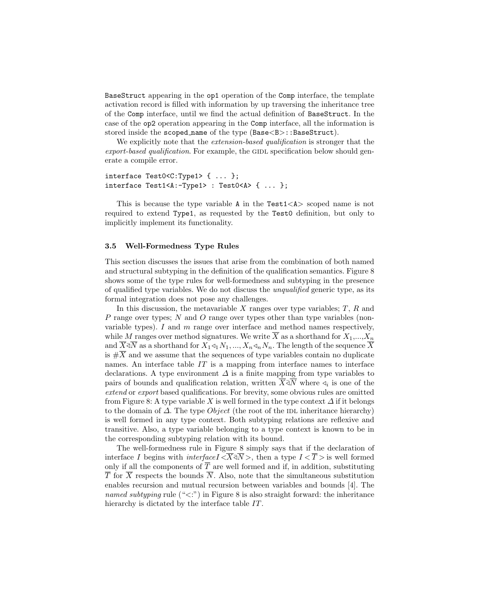BaseStruct appearing in the op1 operation of the Comp interface, the template activation record is filled with information by up traversing the inheritance tree of the Comp interface, until we find the actual definition of BaseStruct. In the case of the op2 operation appearing in the Comp interface, all the information is stored inside the scoped name of the type (Base<B>::BaseStruct).

We explicitly note that the *extension-based qualification* is stronger that the export-based qualification. For example, the GIDL specification below should generate a compile error.

```
interface Test0<C:Type1> { ... };
interface Test1<A:-Type1> : Test0<A> { ... };
```
This is because the type variable  $A$  in the Test1 $\langle A \rangle$  scoped name is not required to extend Type1, as requested by the Test0 definition, but only to implicitly implement its functionality.

#### 3.5 Well-Formedness Type Rules

This section discusses the issues that arise from the combination of both named and structural subtyping in the definition of the qualification semantics. Figure 8 shows some of the type rules for well-formedness and subtyping in the presence of qualified type variables. We do not discuss the unqualified generic type, as its formal integration does not pose any challenges.

In this discussion, the metavariable  $X$  ranges over type variables;  $T$ ,  $R$  and P range over types; N and O range over types other than type variables (nonvariable types).  $I$  and  $m$  range over interface and method names respectively, while M ranges over method signatures. We write  $\overline{X}$  as a shorthand for  $X_1,...,X_n$ and  $\overline{X} \overline{\triangleleft N}$  as a shorthand for  $X_1 \triangleleft_1 N_1, ..., X_n \triangleleft_n N_n$ . The length of the sequence  $\overline{X}$ is  $\#X$  and we assume that the sequences of type variables contain no duplicate names. An interface table  $IT$  is a mapping from interface names to interface declarations. A type environment  $\Delta$  is a finite mapping from type variables to pairs of bounds and qualification relation, written  $\overline{X} \overline{\triangleleft N}$  where  $\triangleleft_i$  is one of the extend or export based qualifications. For brevity, some obvious rules are omitted from Figure 8: A type variable X is well formed in the type context  $\Delta$  if it belongs to the domain of  $\Delta$ . The type  $Object$  (the root of the IDL inheritance hierarchy) is well formed in any type context. Both subtyping relations are reflexive and transitive. Also, a type variable belonging to a type context is known to be in the corresponding subtyping relation with its bound.

The well-formedness rule in Figure 8 simply says that if the declaration of interface I begins with  $interfaceI < \overline{X} \overline{a} \overline{N} >$ , then a type  $I < \overline{T} >$  is well formed only if all the components of  $\overline{T}$  are well formed and if, in addition, substituting  $\overline{T}$  for  $\overline{X}$  respects the bounds  $\overline{N}$ . Also, note that the simultaneous substitution enables recursion and mutual recursion between variables and bounds [4]. The named subtyping rule  $(*<:")$  in Figure 8 is also straight forward: the inheritance hierarchy is dictated by the interface table IT.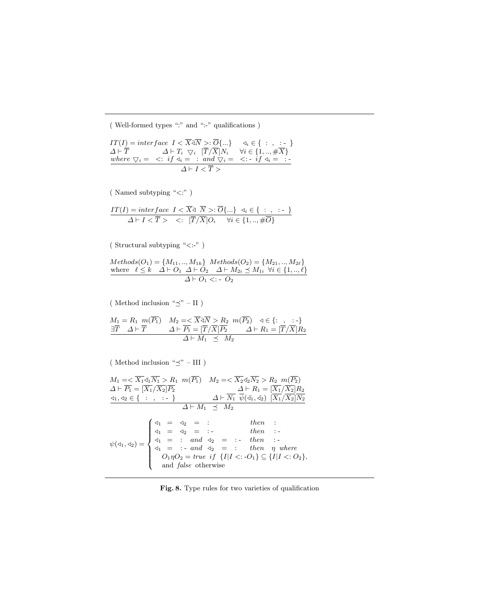( Well-formed types ":" and ":-" qualifications )

$$
IT(I) = interface \ I < \overline{X} \overline{a} \overline{N} >: \overline{O}\{...\} \quad \mathbf{a}_i \in \{ :, \ i - \}
$$
\n
$$
\Delta \vdash \overline{T} \qquad \Delta \vdash T_i \ \nabla_i \ [\overline{T} / \overline{X}] N_i \quad \forall i \in \{1, \dots, \#\overline{X}\}
$$
\n
$$
\text{where } \nabla_i = \langle : \ if \ \mathbf{a}_i = \ \colon \ and \ \nabla_i = \langle : \ \overline{if} \ \mathbf{a}_i = \ \vdots \ \Delta \vdash I \leq \overline{T} \rangle
$$

( Named subtyping "<:" )

$$
\frac{IT(I) = interface \ I < \overline{X} \overline{\triangleleft N} >: \overline{O}\{...\} \ \ \triangleleft_i \in \{\ : \ , \ : -\}}{\Delta \vdash I < \overline{T} > \ \ <: \ [\overline{T}/\overline{X}]O_i \quad \ \forall i \in \{1, .., \#\overline{O}\}}
$$

( Structural subtyping "<:-" )

 $Methods(O_1) = \{M_{11},..,M_{1k}\}$   $Methods(O_2) = \{M_{21},..,M_{2\ell}\}$ where  $\ell \leq k \Delta \vdash O_1 \Delta \vdash O_2 \Delta \vdash M_{2i} \preceq M_{1i} \forall i \in \{1, ..., \ell\}$  $\Delta \vdash O_1 \lt: -O_2$ 

( Method inclusion " $\preceq$  " – II )

$$
\frac{M_1 = R_1 \ m(\overline{P_1})}{\exists \overline{T} \ \Delta \vdash \overline{T}} \quad\n\frac{M_2 = \langle \overline{X} \, \overline{\Delta N} \rangle \, R_2 \ m(\overline{P_2}) \ \simeq \in \{\colon , \ : \ : \} \, \text{and} \, \overline{T} \quad \Delta \vdash \overline{T} \ \Delta \vdash \overline{P_1} = [\overline{T}/\overline{X}]\overline{P_2} \quad \Delta \vdash R_1 = [\overline{T}/\overline{X}]\overline{R_2} \, \text{and} \, \Delta \vdash M_1 \preceq M_2
$$

( Method inclusion " $\preceq$ " – III )

$$
M_1 = \langle \overline{X_1} \overline{\mathbf{q}}_1 \overline{N_1} \rangle R_1 \quad m(\overline{P_1}) \quad M_2 = \langle \overline{X_2} \overline{\mathbf{q}}_2 \overline{N_2} \rangle R_2 \quad m(\overline{P_2})
$$
\n
$$
\Delta \vdash \overline{P_1} = [\overline{X_1}/\overline{X_2}] \overline{P_2}
$$
\n
$$
\xrightarrow{\mathbf{q}} \Delta \vdash R_1 = [\overline{X_1}/\overline{X_2}] \overline{R_2}
$$
\n
$$
\xrightarrow{\mathbf{q}} \Delta \vdash M_1 \leq \overline{N_1} \quad \overline{\psi}(\overline{\mathbf{q}}_1, \overline{\mathbf{q}}_2) \quad [\overline{X_1}/\overline{X_2}] \overline{N_2}
$$
\n
$$
\Delta \vdash M_1 \leq M_2
$$
\n
$$
\xrightarrow{\mathbf{q}} \Delta \vdash M_1 \leq M_2
$$
\n
$$
\xrightarrow{\mathbf{q}} \Delta \vdash \overline{M_1} \quad \overline{\psi}(\overline{\mathbf{q}}_1, \overline{\mathbf{q}}_2) \quad [\overline{X_1}/\overline{X_2}] \overline{N_2}
$$
\n
$$
\xrightarrow{\mathbf{q}} \Delta \vdash M_1 \leq M_2
$$
\n
$$
\xrightarrow{\mathbf{q}} \Delta \vdash \overline{M_1} \quad \overline{\psi}(\overline{\mathbf{q}}_1, \overline{\mathbf{q}}_2) \quad \overline{\mathbf{q}}_1 \quad \overline{\mathbf{q}}_1 \quad \overline{\mathbf{q}}_2 \quad \overline{\mathbf{q}}_1 \quad \overline{\mathbf{q}}_1 \quad \overline{\mathbf{q}}_2 \quad \overline{\mathbf{q}}_1 \quad \overline{\mathbf{q}}_1 \quad \overline{\mathbf{q}}_2 \quad \overline{\mathbf{q}}_1 \quad \overline{\mathbf{q}}_1 \quad \overline{\mathbf{q}}_2 \quad \overline{\mathbf{q}}_1 \quad \overline{\mathbf{q}}_1 \quad \overline{\mathbf{q}}_1 \quad \overline{\mathbf{q}}_2 \quad \overline{\mathbf{q}}_1 \quad \overline{\mathbf{q
$$

Fig. 8. Type rules for two varieties of qualification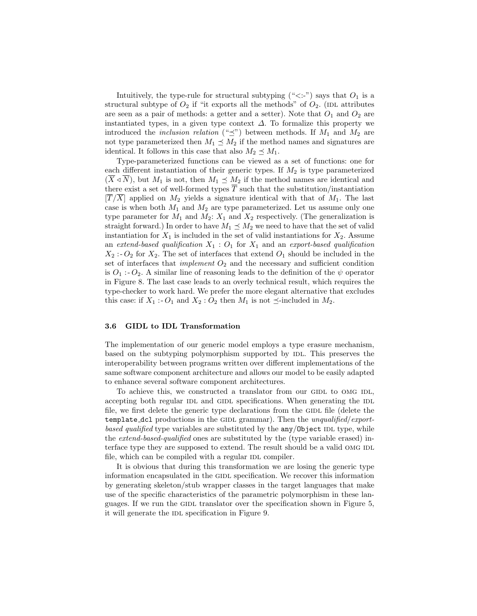Intuitively, the type-rule for structural subtyping (" $\lt$ :-") says that  $O_1$  is a structural subtype of  $O_2$  if "it exports all the methods" of  $O_2$ . (IDL attributes are seen as a pair of methods: a getter and a setter). Note that  $O_1$  and  $O_2$  are instantiated types, in a given type context  $\Delta$ . To formalize this property we introduced the *inclusion relation* (" $\preceq$ ") between methods. If  $M_1$  and  $M_2$  are not type parameterized then  $M_1 \preceq M_2$  if the method names and signatures are identical. It follows in this case that also  $M_2 \preceq M_1$ .

Type-parameterized functions can be viewed as a set of functions: one for each different instantiation of their generic types. If  $M_2$  is type parameterized  $(\overline{X} \triangleleft \overline{N})$ , but  $M_1$  is not, then  $M_1 \preceq M_2$  if the method names are identical and there exist a set of well-formed types  $\overline{T}$  such that the substitution/instantiation  $[\overline{T}/\overline{X}]$  applied on  $M_2$  yields a signature identical with that of  $M_1$ . The last case is when both  $M_1$  and  $M_2$  are type parameterized. Let us assume only one type parameter for  $M_1$  and  $M_2$ :  $X_1$  and  $X_2$  respectively. (The generalization is straight forward.) In order to have  $M_1 \preceq M_2$  we need to have that the set of valid instantiation for  $X_1$  is included in the set of valid instantiations for  $X_2$ . Assume an extend-based qualification  $X_1 : O_1$  for  $X_1$  and an export-based qualification  $X_2$ :  $O_2$  for  $X_2$ . The set of interfaces that extend  $O_1$  should be included in the set of interfaces that *implement*  $O_2$  and the necessary and sufficient condition is  $O_1$ :  $O_2$ . A similar line of reasoning leads to the definition of the  $\psi$  operator in Figure 8. The last case leads to an overly technical result, which requires the type-checker to work hard. We prefer the more elegant alternative that excludes this case: if  $X_1 : O_1$  and  $X_2 : O_2$  then  $M_1$  is not  $\preceq$ -included in  $M_2$ .

### 3.6 GIDL to IDL Transformation

The implementation of our generic model employs a type erasure mechanism, based on the subtyping polymorphism supported by IDL. This preserves the interoperability between programs written over different implementations of the same software component architecture and allows our model to be easily adapted to enhance several software component architectures.

To achieve this, we constructed a translator from our GIDL to OMG IDL, accepting both regular IDL and GIDL specifications. When generating the IDL file, we first delete the generic type declarations from the GIDL file (delete the template\_dcl productions in the GIDL grammar). Then the unqualified/exportbased qualified type variables are substituted by the  $\text{any}/\text{Object}$  IDL type, while the extend-based-qualified ones are substituted by the (type variable erased) interface type they are supposed to extend. The result should be a valid OMG IDL file, which can be compiled with a regular IDL compiler.

It is obvious that during this transformation we are losing the generic type information encapsulated in the GIDL specification. We recover this information by generating skeleton/stub wrapper classes in the target languages that make use of the specific characteristics of the parametric polymorphism in these languages. If we run the GIDL translator over the specification shown in Figure 5, it will generate the IDL specification in Figure 9.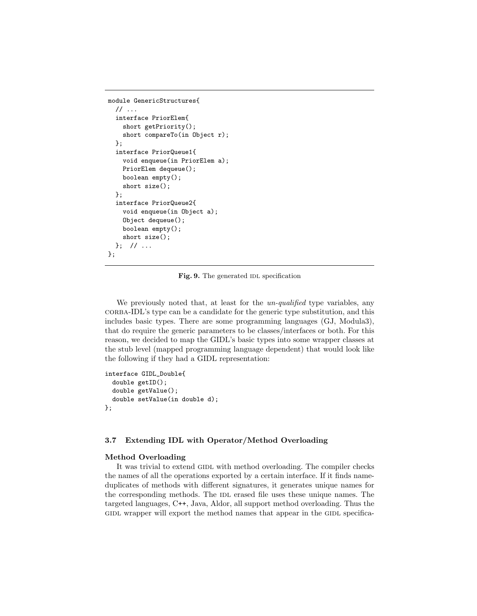```
module GenericStructures{
  // ...
  interface PriorElem{
    short getPriority();
    short compareTo(in Object r);
  };
  interface PriorQueue1{
    void enqueue(in PriorElem a);
    PriorElem dequeue();
    boolean empty();
    short size();
  };
  interface PriorQueue2{
    void enqueue(in Object a);
    Object dequeue();
    boolean empty();
    short size();
  \}; // ...
};
```
Fig. 9. The generated IDL specification

We previously noted that, at least for the *un-qualified* type variables, any corba-IDL's type can be a candidate for the generic type substitution, and this includes basic types. There are some programming languages (GJ, Modula3), that do require the generic parameters to be classes/interfaces or both. For this reason, we decided to map the GIDL's basic types into some wrapper classes at the stub level (mapped programming language dependent) that would look like the following if they had a GIDL representation:

```
interface GIDL_Double{
 double getID();
 double getValue();
 double setValue(in double d);
};
```
# 3.7 Extending IDL with Operator/Method Overloading

### Method Overloading

It was trivial to extend GIDL with method overloading. The compiler checks the names of all the operations exported by a certain interface. If it finds nameduplicates of methods with different signatures, it generates unique names for the corresponding methods. The IDL erased file uses these unique names. The targeted languages, C++, Java, Aldor, all support method overloading. Thus the GIDL wrapper will export the method names that appear in the GIDL specifica-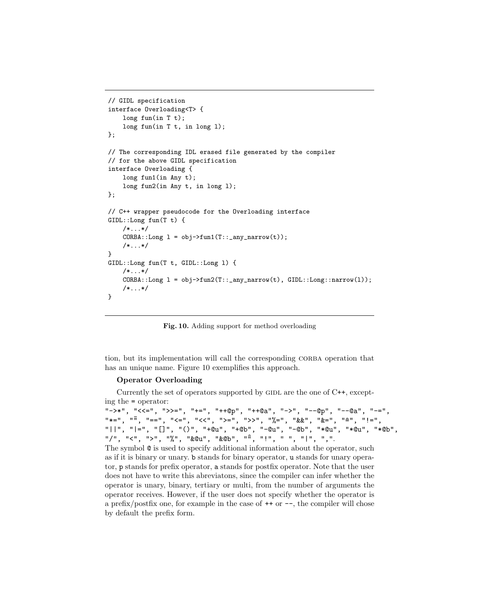```
// GIDL specification
interface Overloading<T> {
    long fun(in T t);
    long fun(in T t, in long l);
};
// The corresponding IDL erased file generated by the compiler
// for the above GIDL specification
interface Overloading {
    long fun1(in Any t);
    long fun2(in Any t, in long l);
};
// C++ wrapper pseudocode for the Overloading interface
GIDL::Long fun(T t) {
    /*...*/
    CORBA::Long 1 = obj->fun1(T::_any\_narrow(t));/*...*/
}
GIDL::Long fun(T t, GIDL::Long l) {
    /*...*/
    CORBA::Long 1 = obj->fun2(T::_any_narrow(t), GIDL::Long::narrow(1));/*...*/
}
```
Fig. 10. Adding support for method overloading

tion, but its implementation will call the corresponding CORBA operation that has an unique name. Figure 10 exemplifies this approach.

#### Operator Overloading

```
Currently the set of operators supported by GIDL are the one of C^{++}, except-
ing the = operator:
"->*", "<<=", ">>=", "+=", "++@p", "++@a", "->", "--@p", "--@a", "-=",
"*=", "", "==", "<=", "<<", ">=", ">>", "%=", "&&", "&=", "≙", "!=",
"||", "|=", "[]", "()", "+@u", "+@b", "-@u", "-@b", "*@u", "*@u", "*@b",
\frac{1}{2}, "<", ">", "%", "&@u", "&@b", "\frac{1}{2}, "!", " ", "|", ", ".
The symbol @ is used to specify additional information about the operator, such
as if it is binary or unary. b stands for binary operator, u stands for unary opera-
tor, p stands for prefix operator, a stands for postfix operator. Note that the user
does not have to write this abreviatons, since the compiler can infer whether the
operator is unary, binary, tertiary or multi, from the number of arguments the
operator receives. However, if the user does not specify whether the operator is
a prefix/postfix one, for example in the case of ++ or --, the compiler will chose
by default the prefix form.
```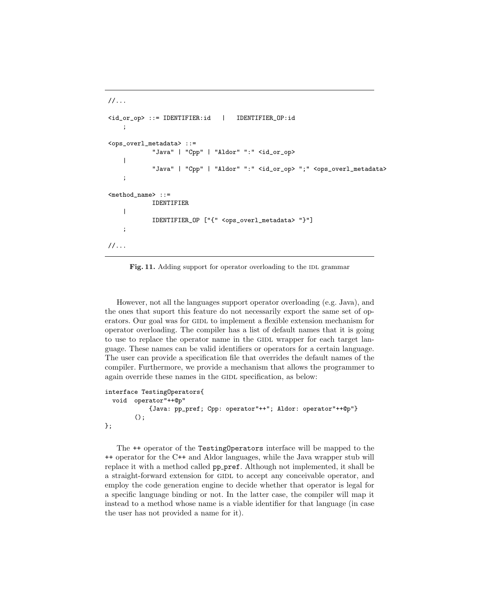```
//...
<id_or_op> ::= IDENTIFIER:id | IDENTIFIER_OP:id
    ;
<ops_overl_metadata> ::=
            "Java" | "Cpp" | "Aldor" ":" <id_or_op>
    |
            "Java" | "Cpp" | "Aldor" ":" <id_or_op> ";" <ops_overl_metadata>
    ;
<method_name> ::=
            IDENTIFIER
    |
            IDENTIFIER_OP ["{" <ops_overl_metadata> "}"]
    ;
//...
```
Fig. 11. Adding support for operator overloading to the IDL grammar

However, not all the languages support operator overloading (e.g. Java), and the ones that suport this feature do not necessarily export the same set of operators. Our goal was for GIDL to implement a flexible extension mechanism for operator overloading. The compiler has a list of default names that it is going to use to replace the operator name in the GIDL wrapper for each target language. These names can be valid identifiers or operators for a certain language. The user can provide a specification file that overrides the default names of the compiler. Furthermore, we provide a mechanism that allows the programmer to again override these names in the GIDL specification, as below:

```
interface TestingOperators{
 void operator"++@p"
            {Java: pp_pref; Cpp: operator"++"; Aldor: operator"++@p"}
        ():
};
```
The ++ operator of the TestingOperators interface will be mapped to the ++ operator for the C++ and Aldor languages, while the Java wrapper stub will replace it with a method called pp\_pref. Although not implemented, it shall be a straight-forward extension for GIDL to accept any conceivable operator, and employ the code generation engine to decide whether that operator is legal for a specific language binding or not. In the latter case, the compiler will map it instead to a method whose name is a viable identifier for that language (in case the user has not provided a name for it).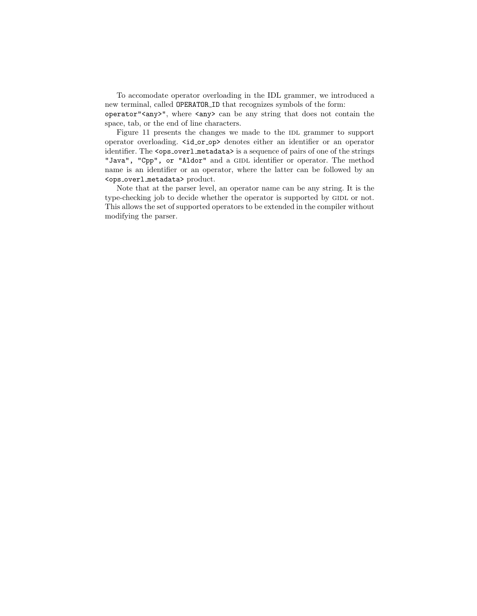To accomodate operator overloading in the IDL grammer, we introduced a new terminal, called OPERATOR ID that recognizes symbols of the form:

operator"<any>", where <any> can be any string that does not contain the space, tab, or the end of line characters.

Figure 11 presents the changes we made to the IDL grammer to support operator overloading. <id or op> denotes either an identifier or an operator identifier. The <ops\_overl\_metadata> is a sequence of pairs of one of the strings "Java", "Cpp", or "Aldor" and a GIDL identifier or operator. The method name is an identifier or an operator, where the latter can be followed by an <ops overl metadata> product.

Note that at the parser level, an operator name can be any string. It is the type-checking job to decide whether the operator is supported by GIDL or not. This allows the set of supported operators to be extended in the compiler without modifying the parser.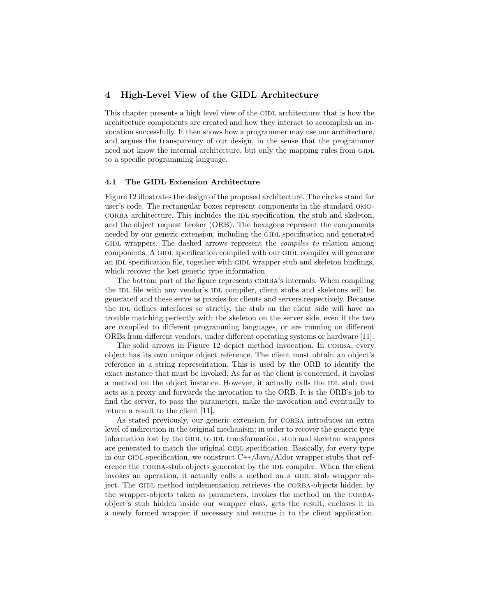# 4 High-Level View of the GIDL Architecture

This chapter presents a high level view of the GIDL architecture: that is how the architecture components are created and how they interact to accomplish an invocation successfully. It then shows how a programmer may use our architecture, and argues the transparency of our design, in the sense that the programmer need not know the internal architecture, but only the mapping rules from GIDL to a specific programming language.

#### 4.1 The GIDL Extension Architecture

Figure 12 illustrates the design of the proposed architecture. The circles stand for user's code. The rectangular boxes represent components in the standard omgcoraba architecture. This includes the IDL specification, the stub and skeleton, and the object request broker (ORB). The hexagons represent the components needed by our generic extension, including the GIDL specification and generated GIDL wrappers. The dashed arrows represent the *compiles to* relation among components. A GIDL specification compiled with our GIDL compiler will generate an IDL specification file, together with GIDL wrapper stub and skeleton bindings, which recover the lost generic type information.

The bottom part of the figure represents CORBA's internals. When compiling the IDL file with any vendor's IDL compiler, client stubs and skeletons will be generated and these serve as proxies for clients and servers respectively. Because the IDL defines interfaces so strictly, the stub on the client side will have no trouble matching perfectly with the skeleton on the server side, even if the two are compiled to different programming languages, or are running on different ORBs from different vendors, under different operating systems or hardware [11].

The solid arrows in Figure 12 depict method invocation. In CORBA, every object has its own unique object reference. The client must obtain an object's reference in a string representation. This is used by the ORB to identify the exact instance that must be invoked. As far as the client is concerned, it invokes a method on the object instance. However, it actually calls the IDL stub that acts as a proxy and forwards the invocation to the ORB. It is the ORB's job to find the server, to pass the parameters, make the invocation and eventually to return a result to the client [11].

As stated previously, our generic extension for CORBA introduces an extra level of indirection in the original mechanism; in order to recover the generic type information lost by the GIDL to IDL transformation, stub and skeleton wrappers are generated to match the original GIDL specification. Basically, for every type in our GIDL specification, we construct  $C++/Java/Aldor$  wrapper stubs that reference the CORBA-stub objects generated by the IDL compiler. When the client invokes an operation, it actually calls a method on a GIDL stub wrapper object. The GIDL method implementation retrieves the CORBA-objects hidden by the wrapper-objects taken as parameters, invokes the method on the CORBAobject's stub hidden inside our wrapper class, gets the result, encloses it in a newly formed wrapper if necessary and returns it to the client application.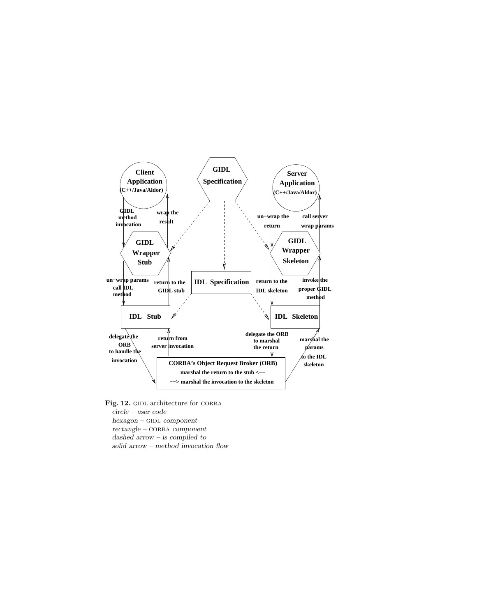

Fig. 12. GIDL architecture for CORBA circle – user code  $hexagon - GIDL component$  $rectangle - CORBA component$ dashed arrow – is compiled to solid arrow – method invocation flow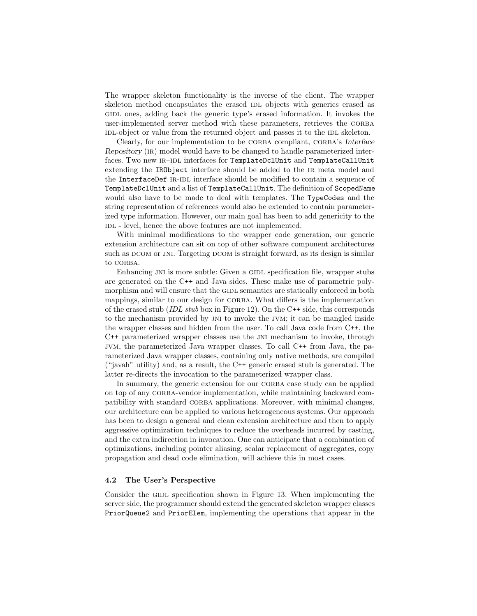The wrapper skeleton functionality is the inverse of the client. The wrapper skeleton method encapsulates the erased IDL objects with generics erased as gidl ones, adding back the generic type's erased information. It invokes the user-implemented server method with these parameters, retrieves the CORBA iDL-object or value from the returned object and passes it to the IDL skeleton.

Clearly, for our implementation to be CORBA compliant, CORBA's Interface Repository (ir) model would have to be changed to handle parameterized interfaces. Two new IR-IDL interfaces for TemplateDclUnit and TemplateCallUnit extending the IRObject interface should be added to the ir meta model and the InterfaceDef IR-IDL interface should be modified to contain a sequence of TemplateDclUnit and a list of TemplateCallUnit. The definition of ScopedName would also have to be made to deal with templates. The TypeCodes and the string representation of references would also be extended to contain parameterized type information. However, our main goal has been to add genericity to the IDL - level, hence the above features are not implemented.

With minimal modifications to the wrapper code generation, our generic extension architecture can sit on top of other software component architectures such as DCOM or JNI. Targeting DCOM is straight forward, as its design is similar to CORBA.

Enhancing JNI is more subtle: Given a GIDL specification file, wrapper stubs are generated on the C++ and Java sides. These make use of parametric polymorphism and will ensure that the GIDL semantics are statically enforced in both mappings, similar to our design for CORBA. What differs is the implementation of the erased stub (IDL stub box in Figure 12). On the C++ side, this corresponds to the mechanism provided by jni to invoke the jvm; it can be mangled inside the wrapper classes and hidden from the user. To call Java code from C++, the C++ parameterized wrapper classes use the jni mechanism to invoke, through jvm, the parameterized Java wrapper classes. To call C++ from Java, the parameterized Java wrapper classes, containing only native methods, are compiled ("javah" utility) and, as a result, the C++ generic erased stub is generated. The latter re-directs the invocation to the parameterized wrapper class.

In summary, the generic extension for our CORBA case study can be applied on top of any CORBA-vendor implementation, while maintaining backward compatibility with standard CORBA applications. Moreover, with minimal changes, our architecture can be applied to various heterogeneous systems. Our approach has been to design a general and clean extension architecture and then to apply aggressive optimization techniques to reduce the overheads incurred by casting, and the extra indirection in invocation. One can anticipate that a combination of optimizations, including pointer aliasing, scalar replacement of aggregates, copy propagation and dead code elimination, will achieve this in most cases.

#### 4.2 The User's Perspective

Consider the GIDL specification shown in Figure 13. When implementing the server side, the programmer should extend the generated skeleton wrapper classes PriorQueue2 and PriorElem, implementing the operations that appear in the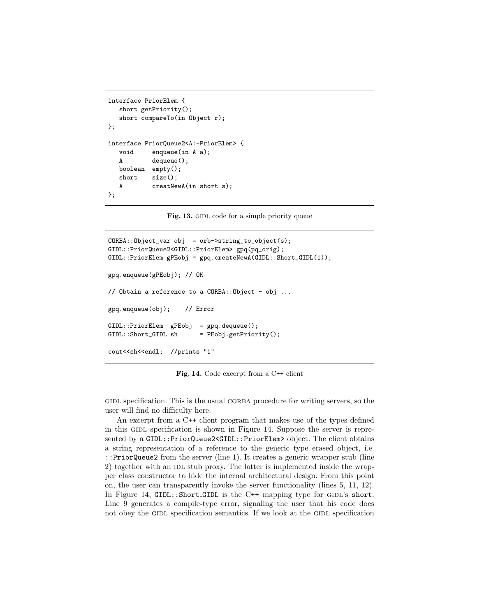```
interface PriorElem {
  short getPriority();
  short compareTo(in Object r);
};
interface PriorQueue2<A:-PriorElem> {
  void enqueue(in A a);
  A dequeue();
  boolean empty();
  short size();
  A creatNewA(in short s);
};
```
Fig. 13. GIDL code for a simple priority queue

```
CORBA::Object\_var obj = orb->string_to_object(s);
GIDL::PriorQueue2<GIDL::PriorElem> gpq(pq_orig);
GIDL::PriorElem gPEobj = gpq.createNewA(GIDL::Short_GIDL(1));
gpq.enqueue(gPEobj); // OK
// Obtain a reference to a CORBA::Object - obj ...
gpq.enqueue(obj); // Error
GIDL::PriorElem gPEobj = gpq.dequeue();
GIDL::Short_GIDL sh = PEobj.getPriority();
cout<<sh<<endl; //prints "1"
```
Fig. 14. Code excerpt from a C++ client

GIDL specification. This is the usual CORBA procedure for writing servers, so the user will find no difficulty here.

An excerpt from a C++ client program that makes use of the types defined in this GIDL specification is shown in Figure 14. Suppose the server is represented by a GIDL::PriorQueue2<GIDL::PriorElem> object. The client obtains a string representation of a reference to the generic type erased object, i.e. ::PriorQueue2 from the server (line 1). It creates a generic wrapper stub (line 2) together with an IDL stub proxy. The latter is implemented inside the wrapper class constructor to hide the internal architectural design. From this point on, the user can transparently invoke the server functionality (lines 5, 11, 12). In Figure 14,  $GIDL:Short_GIDL$  is the C++ mapping type for  $GIDL$ 's short. Line 9 generates a compile-type error, signaling the user that his code does not obey the GIDL specification semantics. If we look at the GIDL specification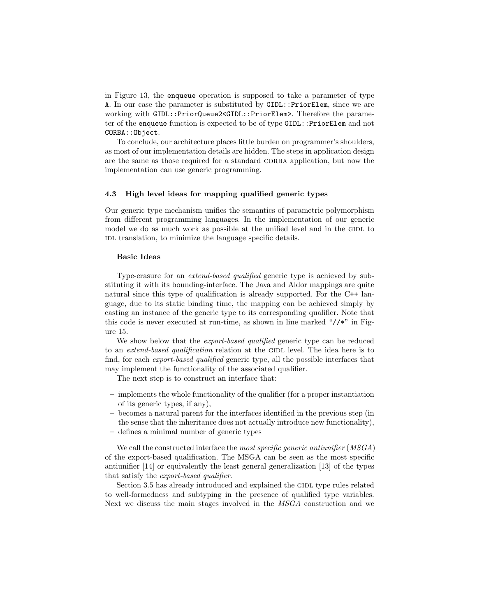in Figure 13, the enqueue operation is supposed to take a parameter of type A. In our case the parameter is substituted by GIDL::PriorElem, since we are working with GIDL::PriorQueue2<GIDL::PriorElem>. Therefore the parameter of the enqueue function is expected to be of type GIDL::PriorElem and not CORBA::Object.

To conclude, our architecture places little burden on programmer's shoulders, as most of our implementation details are hidden. The steps in application design are the same as those required for a standard CORBA application, but now the implementation can use generic programming.

### 4.3 High level ideas for mapping qualified generic types

Our generic type mechanism unifies the semantics of parametric polymorphism from different programming languages. In the implementation of our generic model we do as much work as possible at the unified level and in the GIDL to IDL translation, to minimize the language specific details.

### Basic Ideas

Type-erasure for an extend-based qualified generic type is achieved by substituting it with its bounding-interface. The Java and Aldor mappings are quite natural since this type of qualification is already supported. For the C++ language, due to its static binding time, the mapping can be achieved simply by casting an instance of the generic type to its corresponding qualifier. Note that this code is never executed at run-time, as shown in line marked " $//*$ " in Figure 15.

We show below that the *export-based qualified* generic type can be reduced to an extend-based qualification relation at the GIDL level. The idea here is to find, for each export-based qualified generic type, all the possible interfaces that may implement the functionality of the associated qualifier.

The next step is to construct an interface that:

- implements the whole functionality of the qualifier (for a proper instantiation of its generic types, if any),
- becomes a natural parent for the interfaces identified in the previous step (in the sense that the inheritance does not actually introduce new functionality),
- defines a minimal number of generic types

We call the constructed interface the most specific generic antiunifier (MSGA) of the export-based qualification. The MSGA can be seen as the most specific antiunifier [14] or equivalently the least general generalization [13] of the types that satisfy the export-based qualifier.

Section 3.5 has already introduced and explained the GIDL type rules related to well-formedness and subtyping in the presence of qualified type variables. Next we discuss the main stages involved in the MSGA construction and we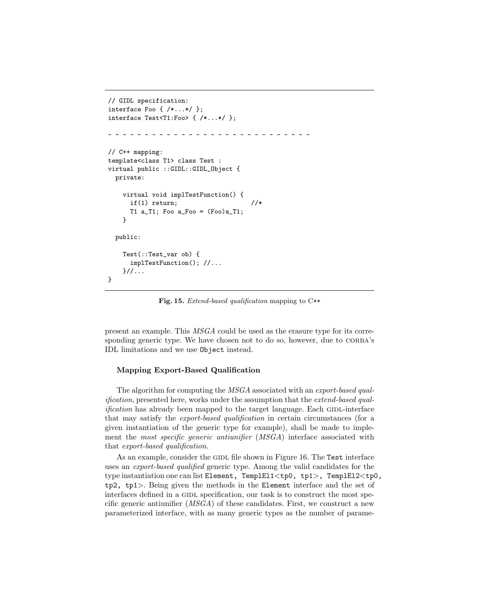```
// GIDL specification:
interface Foo \{ /*...*/ \};
interface Test<T1:Foo> { /*...*/ };
                             - - - - - - - - - - - - - - - - - - - - - - - - - - - -
// C++ mapping:
template<class T1> class Test :
virtual public ::GIDL::GIDL_Object {
  private:
    virtual void implTestFunction() {
      if(1) return; //*T1 a_T1; Foo a_Foo = (Foo)a_T1;
    }
  public:
    Test(::Test_var ob) {
      implTestFunction(); //...
    }//...
}
```
Fig. 15. Extend-based qualification mapping to C++

present an example. This MSGA could be used as the erasure type for its corresponding generic type. We have chosen not to do so, however, due to CORBA's IDL limitations and we use Object instead.

### Mapping Export-Based Qualification

The algorithm for computing the MSGA associated with an export-based qualification, presented here, works under the assumption that the extend-based qual*ification* has already been mapped to the target language. Each GIDL-interface that may satisfy the export-based qualification in certain circumstances (for a given instantiation of the generic type for example), shall be made to implement the most specific generic antiunifier (MSGA) interface associated with that export-based qualification.

As an example, consider the GIDL file shown in Figure 16. The Test interface uses an export-based qualified generic type. Among the valid candidates for the type instantiation one can list Element, TemplEl1<tp0, tp1>, TemplEl2<tp0, tp2, tp1>. Being given the methods in the Element interface and the set of interfaces defined in a GIDL specification, our task is to construct the most specific generic antiunifier (MSGA) of these candidates. First, we construct a new parameterized interface, with as many generic types as the number of parame-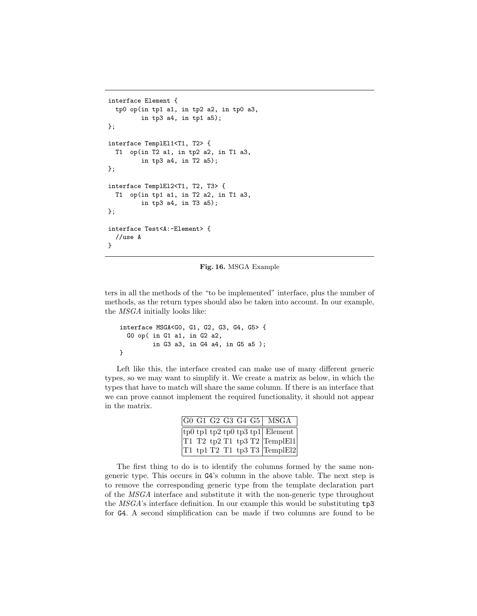```
interface Element {
 tp0 op(in tp1 a1, in tp2 a2, in tp0 a3,
         in tp3 a4, in tp1 a5);
};
interface TemplEl1<T1, T2> {
 T1 op(in T2 a1, in tp2 a2, in T1 a3,
         in tp3 a4, in T2 a5);
};
interface TemplEl2<T1, T2, T3> {
 T1 op(in tp1 a1, in T2 a2, in T1 a3,
         in tp3 a4, in T3 a5);
};
interface Test<A:-Element> {
 //use A
}
```
Fig. 16. MSGA Example

ters in all the methods of the "to be implemented" interface, plus the number of methods, as the return types should also be taken into account. In our example, the MSGA initially looks like:

```
interface MSGA<G0, G1, G2, G3, G4, G5> {
 G0 op( in G1 a1, in G2 a2,
         in G3 a3, in G4 a4, in G5 a5 );
}
```
Left like this, the interface created can make use of many different generic types, so we may want to simplify it. We create a matrix as below, in which the types that have to match will share the same column. If there is an interface that we can prove cannot implement the required functionality, it should not appear in the matrix.

|  |  |  | G0 G1 G2 G3 G4 G5 $\vert$ MSGA                                         |
|--|--|--|------------------------------------------------------------------------|
|  |  |  | $\vert$ tp0 tp1 tp2 tp0 tp3 tp1 Element $\vert$                        |
|  |  |  | $\vert$ T1 T2 tp2 T1 tp3 T2 TemplEl1                                   |
|  |  |  | $\begin{bmatrix} T1 & tp1 & T2 & T1 & tp3 & T3 \end{bmatrix}$ TemplEl2 |

The first thing to do is to identify the columns formed by the same nongeneric type. This occurs in G4's column in the above table. The next step is to remove the corresponding generic type from the template declaration part of the MSGA interface and substitute it with the non-generic type throughout the MSGA's interface definition. In our example this would be substituting tp3 for G4. A second simplification can be made if two columns are found to be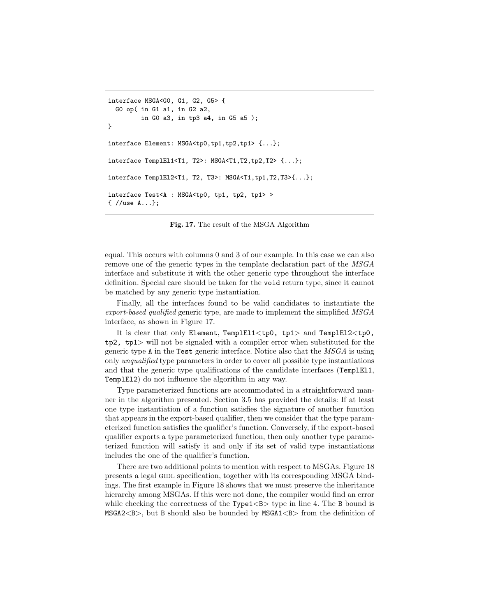```
interface MSGA<G0, G1, G2, G5> {
 G0 op( in G1 a1, in G2 a2,
         in G0 a3, in tp3 a4, in G5 a5 );
}
interface Element: MSGA<tp0,tp1,tp2,tp1> {...};
interface TemplEl1<T1, T2>: MSGA<T1,T2,tp2,T2> {...};
interface TemplEl2<T1, T2, T3>: MSGA<T1,tp1,T2,T3>{...};
interface Test<A : MSGA<tp0, tp1, tp2, tp1> >
{ //use A...};
```
Fig. 17. The result of the MSGA Algorithm

equal. This occurs with columns 0 and 3 of our example. In this case we can also remove one of the generic types in the template declaration part of the MSGA interface and substitute it with the other generic type throughout the interface definition. Special care should be taken for the void return type, since it cannot be matched by any generic type instantiation.

Finally, all the interfaces found to be valid candidates to instantiate the export-based qualified generic type, are made to implement the simplified MSGA interface, as shown in Figure 17.

It is clear that only Element, TemplEl1<tp0, tp1> and TemplEl2<tp0, tp2, tp1> will not be signaled with a compiler error when substituted for the generic type A in the Test generic interface. Notice also that the  $MSGA$  is using only unqualified type parameters in order to cover all possible type instantiations and that the generic type qualifications of the candidate interfaces (TemplEl1, TemplEl2) do not influence the algorithm in any way.

Type parameterized functions are accommodated in a straightforward manner in the algorithm presented. Section 3.5 has provided the details: If at least one type instantiation of a function satisfies the signature of another function that appears in the export-based qualifier, then we consider that the type parameterized function satisfies the qualifier's function. Conversely, if the export-based qualifier exports a type parameterized function, then only another type parameterized function will satisfy it and only if its set of valid type instantiations includes the one of the qualifier's function.

There are two additional points to mention with respect to MSGAs. Figure 18 presents a legal gidl specification, together with its corresponding MSGA bindings. The first example in Figure 18 shows that we must preserve the inheritance hierarchy among MSGAs. If this were not done, the compiler would find an error while checking the correctness of the Type $1\lt B$  type in line 4. The B bound is MSGA2<B>, but B should also be bounded by MSGA1<B> from the definition of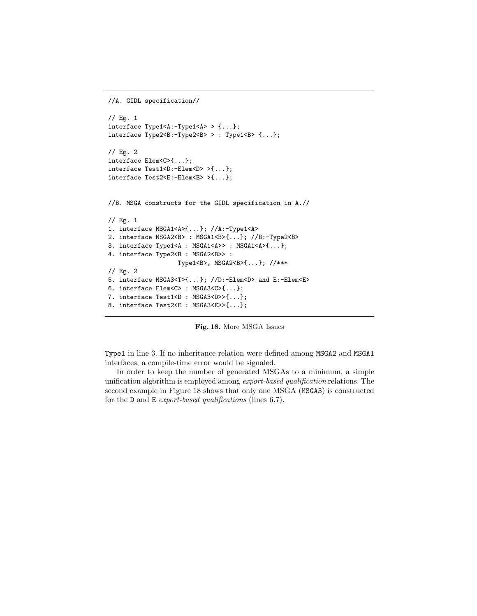```
//A. GIDL specification//
```

```
// Eg. 1
interface Type1<A:-Type1<A> > {...};
interface Type2<B:-Type2<B> > : Type1<B> {...};
// Eg. 2
interface Elem<C>{...};
interface Test1<D:-Elem<D> >{...};
interface Test2<E:-Elem<E> >{...};
//B. MSGA constructs for the GIDL specification in A.//
// Eg. 1
1. interface MSGA1<A>{...}; //A:-Type1<A>
2. interface MSGA2<B> : MSGA1<B>{...}; //B:-Type2<B>
3. interface Type1<A : MSGA1<A>> : MSGA1<A>{...};
4. interface Type2<B : MSGA2<B>> :
                   Type1<B>, MSGA2<B>{...}; //***
// Eg. 2
5. interface MSGA3<T>{...}; //D:-Elem<D> and E:-Elem<E>
6. interface Elem<C> : MSGA3<C>{...};
7. interface Test1<D : MSGA3<D>>{...};
8. interface Test2<E : MSGA3<E>>{...};
```
Fig. 18. More MSGA Issues

Type1 in line 3. If no inheritance relation were defined among MSGA2 and MSGA1 interfaces, a compile-time error would be signaled.

In order to keep the number of generated MSGAs to a minimum, a simple unification algorithm is employed among export-based qualification relations. The second example in Figure 18 shows that only one MSGA (MSGA3) is constructed for the D and E export-based qualifications (lines 6,7).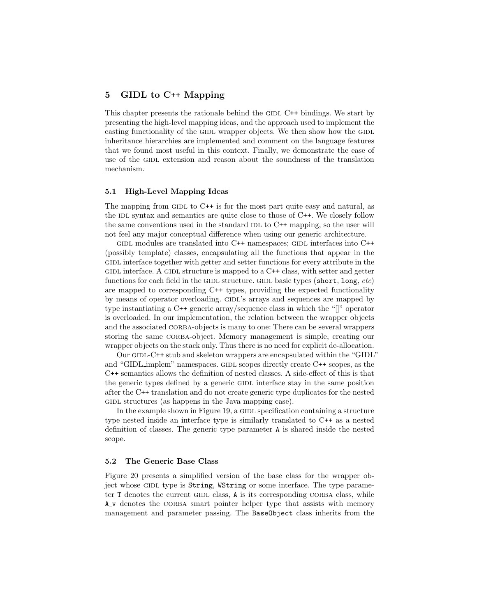# 5 GIDL to C++ Mapping

This chapter presents the rationale behind the GIDL C<sup>++</sup> bindings. We start by presenting the high-level mapping ideas, and the approach used to implement the casting functionality of the GIDL wrapper objects. We then show how the GIDL inheritance hierarchies are implemented and comment on the language features that we found most useful in this context. Finally, we demonstrate the ease of use of the GIDL extension and reason about the soundness of the translation mechanism.

### 5.1 High-Level Mapping Ideas

The mapping from GIDL to  $C^{++}$  is for the most part quite easy and natural, as the IDL syntax and semantics are quite close to those of  $C++$ . We closely follow the same conventions used in the standard IDL to  $C++$  mapping, so the user will not feel any major conceptual difference when using our generic architecture.

GIDL modules are translated into  $C^{++}$  namespaces; GIDL interfaces into  $C^{++}$ (possibly template) classes, encapsulating all the functions that appear in the gidl interface together with getter and setter functions for every attribute in the GIDL interface. A GIDL structure is mapped to a  $C++$  class, with setter and getter functions for each field in the GIDL structure. GIDL basic types (short, long,  $etc$ ) are mapped to corresponding C++ types, providing the expected functionality by means of operator overloading. GIDL's arrays and sequences are mapped by type instantiating a C++ generic array/sequence class in which the "[]" operator is overloaded. In our implementation, the relation between the wrapper objects and the associated CORBA-objects is many to one: There can be several wrappers storing the same CORBA-object. Memory management is simple, creating our wrapper objects on the stack only. Thus there is no need for explicit de-allocation.

Our GIDL-C++ stub and skeleton wrappers are encapsulated within the "GIDL" and "GIDL implem" namespaces. GIDL scopes directly create C++ scopes, as the C++ semantics allows the definition of nested classes. A side-effect of this is that the generic types defined by a generic GIDL interface stay in the same position after the C++ translation and do not create generic type duplicates for the nested gidl structures (as happens in the Java mapping case).

In the example shown in Figure 19, a GIDL specification containing a structure type nested inside an interface type is similarly translated to C++ as a nested definition of classes. The generic type parameter A is shared inside the nested scope.

#### 5.2 The Generic Base Class

Figure 20 presents a simplified version of the base class for the wrapper object whose GIDL type is String, WString or some interface. The type parameter  $T$  denotes the current GIDL class,  $A$  is its corresponding CORBA class, while A\_v denotes the CORBA smart pointer helper type that assists with memory management and parameter passing. The BaseObject class inherits from the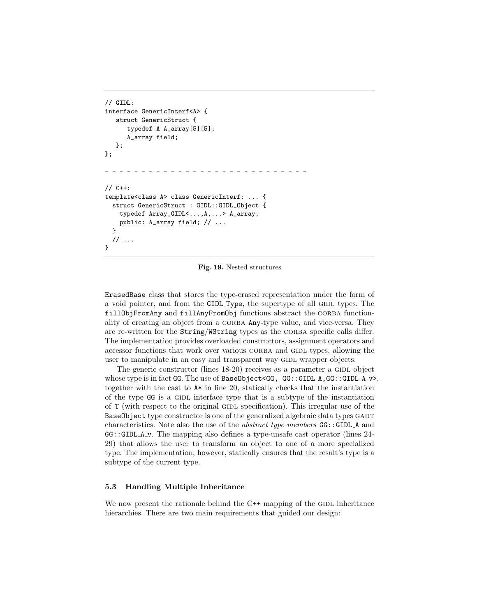```
// GIDL:
interface GenericInterf<A> {
   struct GenericStruct {
      typedef A A_array[5][5];
      A_array field;
   };
};
- - - - - - - - - - - - - - - - - - - - - - - - - - - -
// C++:
template<class A> class GenericInterf: ... {
 struct GenericStruct : GIDL::GIDL_Object {
    typedef Array_GIDL<...,A,...> A_array;
    public: A_array field; // ...
 }
  // ...
}
```
Fig. 19. Nested structures

ErasedBase class that stores the type-erased representation under the form of a void pointer, and from the GIDL Type, the supertype of all GIDL types. The fillObjFromAny and fillAnyFromObj functions abstract the corba functionality of creating an object from a CORBA Any-type value, and vice-versa. They are re-written for the String/WString types as the CORBA specific calls differ. The implementation provides overloaded constructors, assignment operators and accessor functions that work over various CORBA and GIDL types, allowing the user to manipulate in an easy and transparent way GIDL wrapper objects.

The generic constructor (lines 18-20) receives as a parameter a GIDL object whose type is in fact GG. The use of BaseObject<GG, GG::GIDLA,GG::GIDLA\_v>, together with the cast to A\* in line 20, statically checks that the instantiation of the type GG is a GIDL interface type that is a subtype of the instantiation of  $T$  (with respect to the original GIDL specification). This irregular use of the BaseObject type constructor is one of the generalized algebraic data types GADT characteristics. Note also the use of the *abstract type members*  $GG$ : : GIDLA and GG::GIDL A v. The mapping also defines a type-unsafe cast operator (lines 24- 29) that allows the user to transform an object to one of a more specialized type. The implementation, however, statically ensures that the result's type is a subtype of the current type.

# 5.3 Handling Multiple Inheritance

We now present the rationale behind the  $C++$  mapping of the GIDL inheritance hierarchies. There are two main requirements that guided our design: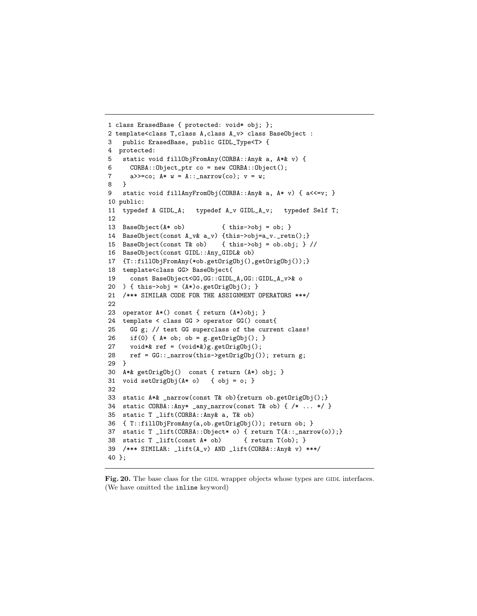```
1 class ErasedBase { protected: void* obj; };
2 template<class T,class A,class A_v> class BaseObject :
3 public ErasedBase, public GIDL_Type<T> {
4 protected:
5 static void fillObjFromAny(CORBA::Any& a, A*& v) {
6 CORBA::Object_ptr co = new CORBA::Object();
7 a>>=co; A* w = A::_{\text{narrow}}(co); v = w;8 }
9 static void fillAnyFromObj(CORBA::Any& a, A* v) { a<<= v; }
10 public:
11 typedef A GIDL_A; typedef A_v GIDL_A_v; typedef Self T;
12
13 BaseObject(A* ob) { this->obj = ob; }
14 BaseObject(const A_v& a_v) {this->obj=a_v._retn();}
15 BaseObject(const T& ob) { this->obj = ob.obj; } //
16 BaseObject(const GIDL::Any_GIDL& ob)
17 {T::fillObjFromAny(*ob.getOrigObj(),getOrigObj());}
18 template<class GG> BaseObject(
19 const BaseObject<GG,GG::GIDL_A,GG::GIDL_A_v>& o
20 ) { this->obj = (A*)o.getOrigObj(); }
21 /*** SIMILAR CODE FOR THE ASSIGNMENT OPERATORS ***/
22
23 operator A*() const { return (A*)obj; }
24 template < class GG > operator GG() const{
25 GG g; // test GG superclass of the current class!
26 if(0) { A* ob; ob = g.getOrigObj(); }
27 void*& ref = (void*&)g.getOrigObj();
28 ref = GG::_{\text{maximum}}(this \rightarrow get0right()); return g;
29 }
30 A*& getOrigObj() const { return (A*) obj; }
31 void setOrigObj(A * o) { obj = o; }
32
33 static A*& _narrow(const T& ob){return ob.getOrigObj();}
34 static CORBA::Any* _any_narrow(const T& ob) { /* ... */ }
35 static T _lift(CORBA::Any& a, T& ob)
36 { T::fillObjFromAny(a,ob.getOrigObj()); return ob; }
37 static T _lift(CORBA::Object* o) { return T(A::_narrow(o));}
38 static T _lift(const A* ob) { return T(ob); }
39 /*** SIMILAR: _lift(A_v) AND _lift(CORBA::Any& v) ***/
40 };
```
Fig. 20. The base class for the GIDL wrapper objects whose types are GIDL interfaces. (We have omitted the inline keyword)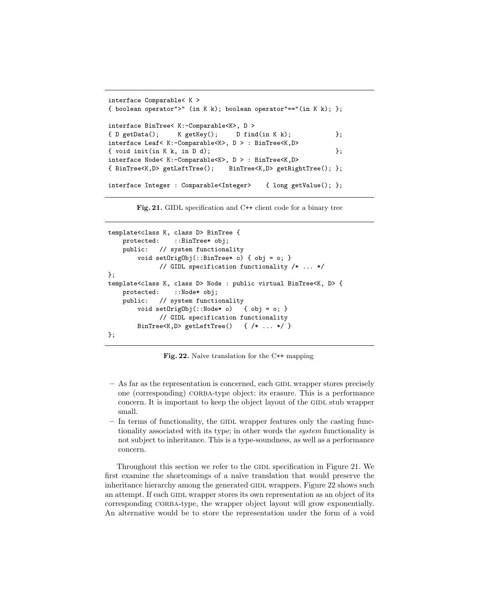```
interface Comparable< K >
{ boolean operator">" (in K k); boolean operator"=="(in K k); };
interface BinTree< K:-Comparable<K>, D >
{ D getData(); K getKey(); D find(in K k); }; };
interface Leaf< K:-Comparable<K>, D > : BinTree<K,D>
{ void init(in K k, in D d); \};
interface Node< K:-Comparable<K>, D > : BinTree<K,D>
{ BinTree<K,D> getLeftTree(); BinTree<K,D> getRightTree(); };
interface Integer : Comparable<Integer> { long getValue(); };
```
Fig. 21. GIDL specification and C++ client code for a binary tree

```
template<class K, class D> BinTree {
   protected: ::BinTree* obj;
   public: // system functionality
       void setOrigObj(::BinTree* o) { obj = o; }
             // GIDL specification functionality /* ... */
};
template<class K, class D> Node : public virtual BinTree<K, D> {
   protected: ::Node* obj;
   public: // system functionality
       void setOrigObj(::Node* o) { obj = o; }
             // GIDL specification functionality
       BinTree<K,D> getLeftTree() { /* ... */ }
};
```
Fig. 22. Naive translation for the C++ mapping

- $-$  As far as the representation is concerned, each GIDL wrapper stores precisely one (corresponding) CORBA-type object: its erasure. This is a performance concern. It is important to keep the object layout of the GIDL stub wrapper small.
- In terms of functionality, the GIDL wrapper features only the casting functionality associated with its type; in other words the system functionality is not subject to inheritance. This is a type-soundness, as well as a performance concern.

Throughout this section we refer to the GIDL specification in Figure 21. We first examine the shortcomings of a naïve translation that would preserve the inheritance hierarchy among the generated GIDL wrappers. Figure 22 shows such an attempt. If each GIDL wrapper stores its own representation as an object of its corresponding CORBA-type, the wrapper object layout will grow exponentially. An alternative would be to store the representation under the form of a void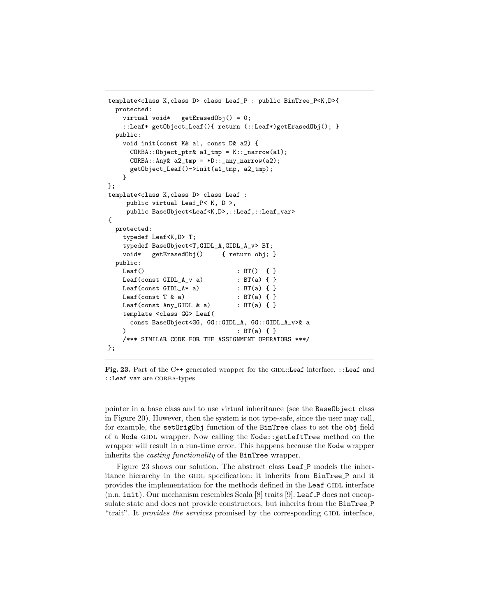```
template<class K,class D> class Leaf_P : public BinTree_P<K,D>{
 protected:
   virtual void* getErasedObj() = 0;
   ::Leaf* getObject_Leaf(){ return (::Leaf*)getErasedObj(); }
 public:
   void init(const K& a1, const D& a2) {
     CORBA::Object_ptr& a1_tmp = K::_narrow(a1);
     CORBA::Any& a2_tmp = *D::_{any\_narrow(a2)};getObject_Leaf()->init(a1_tmp, a2_tmp);
   }
};
template<class K,class D> class Leaf :
    public virtual Leaf_P< K, D >,
    public BaseObject<Leaf<K,D>,::Leaf,::Leaf_var>
{
 protected:
   typedef Leaf<K,D> T;
   typedef BaseObject<T,GIDL_A,GIDL_A_v> BT;
   void* getErasedObj() { return obj; }
 public:
   Leaf() \qquad \qquad : BT() \quad \{ \}Leaf(const GIDL_A_v a) : BT(a) \{ \}Leaf(const GIDL_A* a) : BT(a) \{ \}Leaf(const T & a) : BT(a) \{ \}Leaf(const Any_GIDL \& a) : BT(a) \{ \}template <class GG> Leaf(
     const BaseObject<GG, GG::GIDL_A, GG::GIDL_A_v>& a
   ) \qquad \qquad : BT(a) \{ \}/*** SIMILAR CODE FOR THE ASSIGNMENT OPERATORS ***/
};
```
Fig. 23. Part of the C++ generated wrapper for the GIDL::Leaf interface. ::Leaf and ::Leaf\_var are CORBA-types

pointer in a base class and to use virtual inheritance (see the BaseObject class in Figure 20). However, then the system is not type-safe, since the user may call, for example, the setOrigObj function of the BinTree class to set the obj field of a Node GIDL wrapper. Now calling the Node::getLeftTree method on the wrapper will result in a run-time error. This happens because the Node wrapper inherits the *casting functionality* of the **BinTree** wrapper.

Figure 23 shows our solution. The abstract class Leaf P models the inheritance hierarchy in the GIDL specification: it inherits from BinTree P and it provides the implementation for the methods defined in the Leaf GIDL interface (n.n. init). Our mechanism resembles Scala [8] traits [9]. Leaf P does not encapsulate state and does not provide constructors, but inherits from the BinTree P "trait". It *provides the services* promised by the corresponding GIDL interface,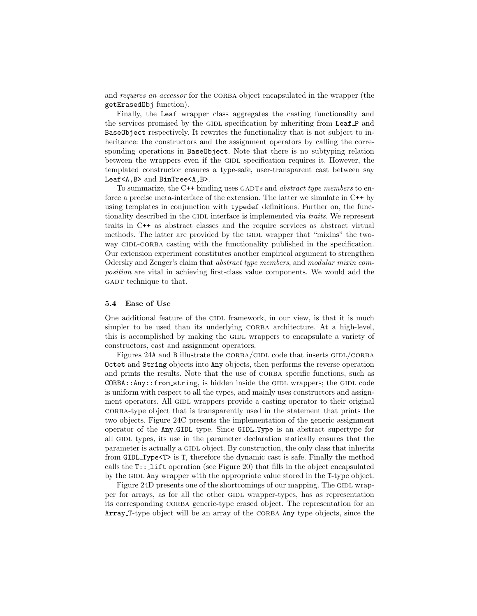and requires an accessor for the CORBA object encapsulated in the wrapper (the getErasedObj function).

Finally, the Leaf wrapper class aggregates the casting functionality and the services promised by the GIDL specification by inheriting from Leaf P and BaseObject respectively. It rewrites the functionality that is not subject to inheritance: the constructors and the assignment operators by calling the corresponding operations in BaseObject. Note that there is no subtyping relation between the wrappers even if the GIDL specification requires it. However, the templated constructor ensures a type-safe, user-transparent cast between say Leaf<A,B> and BinTree<A,B>.

To summarize, the C $++$  binding uses GADTs and *abstract type members* to enforce a precise meta-interface of the extension. The latter we simulate in C++ by using templates in conjunction with typedef definitions. Further on, the functionality described in the GIDL interface is implemented via *traits*. We represent traits in C++ as abstract classes and the require services as abstract virtual methods. The latter are provided by the GIDL wrapper that "mixins" the twoway GIDL-CORBA casting with the functionality published in the specification. Our extension experiment constitutes another empirical argument to strengthen Odersky and Zenger's claim that abstract type members, and modular mixin composition are vital in achieving first-class value components. We would add the GADT technique to that.

### 5.4 Ease of Use

One additional feature of the GIDL framework, in our view, is that it is much simpler to be used than its underlying CORBA architecture. At a high-level, this is accomplished by making the GIDL wrappers to encapsulate a variety of constructors, cast and assignment operators.

Figures 24A and B illustrate the CORBA/GIDL code that inserts GIDL/CORBA Octet and String objects into Any objects, then performs the reverse operation and prints the results. Note that the use of CORBA specific functions, such as  $CORBA: Any: from  $\exists$  is hidden inside the GIDL wrappers; the GIDL code$ is uniform with respect to all the types, and mainly uses constructors and assignment operators. All GIDL wrappers provide a casting operator to their original corba-type object that is transparently used in the statement that prints the two objects. Figure 24C presents the implementation of the generic assignment operator of the Any GIDL type. Since GIDL Type is an abstract supertype for all GIDL types, its use in the parameter declaration statically ensures that the parameter is actually a GIDL object. By construction, the only class that inherits from GIDL Type<T> is T, therefore the dynamic cast is safe. Finally the method calls the T:: lift operation (see Figure 20) that fills in the object encapsulated by the GIDL Any wrapper with the appropriate value stored in the T-type object.

Figure 24D presents one of the shortcomings of our mapping. The GIDL wrapper for arrays, as for all the other gidl wrapper-types, has as representation its corresponding CORBA generic-type erased object. The representation for an Array T-type object will be an array of the CORBA Any type objects, since the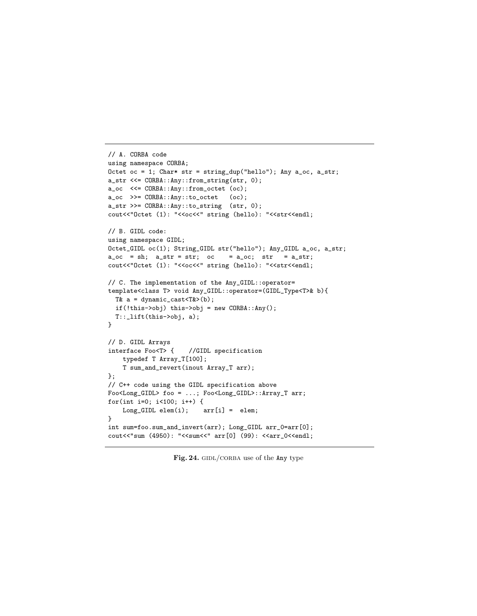```
// A. CORBA code
using namespace CORBA;
Octet oc = 1; Char* str = string_dup("hello"); Any a_oc, a_str;
a_str <<= CORBA::Any::from_string(str, 0);
a_oc <<= CORBA::Any::from_octet (oc);
a_oc >>= CORBA::Any::to_octet (oc);
a_str >>= CORBA::Any::to_string (str, 0);
cout<<"Octet (1): "<<oc<<" string (hello): "<<str<<endl;
// B. GIDL code:
using namespace GIDL;
Octet_GIDL oc(1); String_GIDL str("hello"); Any_GIDL a_oc, a_str;
a_{\text{o}}c = sh; a_{\text{f}}str = str; oc = a_{\text{o}}c; str = a_{\text{f}}str;cout<<"Octet (1): "<<oc<<" string (hello): "<<str<<endl;
// C. The implementation of the Any_GIDL::operator=
template<class T> void Any_GIDL::operator=(GIDL_Type<T>& b){
  T& a = dynamic\_cast < T&gt; (b);
  if(!this->obj) this->obj = new CORBA::Any();
  T::_lift(this->obj, a);
}
// D. GIDL Arrays
interface Foo<T> { //GIDL specification
    typedef T Array_T[100];
    T sum_and_revert(inout Array_T arr);
};
// C++ code using the GIDL specification above
Foo<Long_GIDL> foo = ...; Foo<Long_GIDL>::Array_T arr;
for(int i=0; i<100; i++) {
    Long_GIDL elem(i); arr[i] = elem;}
int sum=foo.sum_and_invert(arr); Long_GIDL arr_0=arr[0];
cout<<"sum (4950): "<<sum<<" arr[0] (99): <<arr_0<<endl;
```

```
Fig. 24. GIDL/CORBA use of the Any type
```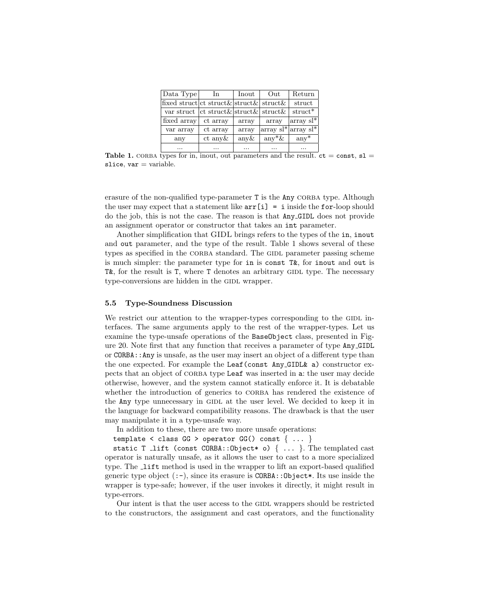| Data Type                                               | In.           | Inout          | Out                                               | Return              |
|---------------------------------------------------------|---------------|----------------|---------------------------------------------------|---------------------|
| fixed struct $ ct $ struct $\&$ struct $\&$ struct $\&$ |               |                |                                                   | struct              |
| var struct   ct struct & struct & struct &              |               |                |                                                   | struct <sup>*</sup> |
| fixed array                                             | ct array      | array          | array                                             | $\arctan s1*$       |
| var array                                               | ct array      | array          | $\arctan s$ <sup>*</sup> $\arctan s$ <sup>*</sup> |                     |
| any                                                     | $ct$ any $\&$ | $\text{any}\&$ | $any^*\&$                                         | $any^*$             |
|                                                         |               |                |                                                   |                     |

Table 1. CORBA types for in, inout, out parameters and the result.  $ct = \text{const}$ ,  $s1 =$ slice,  $var = variable$ .

erasure of the non-qualified type-parameter  $T$  is the Any CORBA type. Although the user may expect that a statement like  $arr[i] = i$  inside the for-loop should do the job, this is not the case. The reason is that Any GIDL does not provide an assignment operator or constructor that takes an int parameter.

Another simplification that GIDL brings refers to the types of the in, inout and out parameter, and the type of the result. Table 1 shows several of these types as specified in the CORBA standard. The GIDL parameter passing scheme is much simpler: the parameter type for in is const T&, for inout and out is  $T\&$ , for the result is T, where T denotes an arbitrary GIDL type. The necessary type-conversions are hidden in the GIDL wrapper.

### 5.5 Type-Soundness Discussion

We restrict our attention to the wrapper-types corresponding to the GIDL interfaces. The same arguments apply to the rest of the wrapper-types. Let us examine the type-unsafe operations of the BaseObject class, presented in Figure 20. Note first that any function that receives a parameter of type Any GIDL or CORBA::Any is unsafe, as the user may insert an object of a different type than the one expected. For example the Leaf(const Any GIDL& a) constructor expects that an object of CORBA type Leaf was inserted in a: the user may decide otherwise, however, and the system cannot statically enforce it. It is debatable whether the introduction of generics to CORBA has rendered the existence of the Any type unnecessary in GIDL at the user level. We decided to keep it in the language for backward compatibility reasons. The drawback is that the user may manipulate it in a type-unsafe way.

In addition to these, there are two more unsafe operations:

template  $\langle$  class  $GG \rangle$  operator  $GG()$  const  $\{ \ldots \}$ 

static T lift (const CORBA:: Object\* o) { ... }. The templated cast operator is naturally unsafe, as it allows the user to cast to a more specialized type. The lift method is used in the wrapper to lift an export-based qualified generic type object  $(\cdot-)$ , since its erasure is CORBA:: Object\*. Its use inside the wrapper is type-safe; however, if the user invokes it directly, it might result in type-errors.

Our intent is that the user access to the GIDL wrappers should be restricted to the constructors, the assignment and cast operators, and the functionality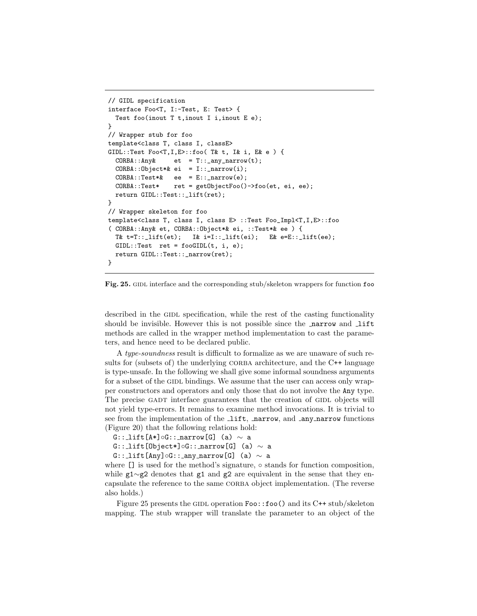```
// GIDL specification
interface Foo<T, I:-Test, E: Test> {
 Test foo(inout T t,inout I i,inout E e);
}
// Wrapper stub for foo
template<class T, class I, classE>
GIDL::Test Foo < T, I, E > ::foo (T& t, I& i, E& e ) {
  CORBA::Any\& et = T::_any_narrow(t);
 CORBA::Object*& ei = I::_narrow(i);
 CORBA::Test*& ee = E::_narrow(e);
 CORBA::Test* ret = getObjectFoo()->foo(et, ei, ee);
 return GIDL::Test::_lift(ret);
}
// Wrapper skeleton for foo
template<class T, class I, class E> ::Test Foo_Impl<T,I,E>::foo
( CORBA::Any& et, CORBA::Object*& ei, ::Test*& ee ) {
 T& t=T::\_lift(et); I& i=I::\_lift(ei); E& e=E::\_lift(ee);GIDL::Test ret = fooGIDL(t, i, e);return GIDL::Test::_narrow(ret);
}
```
Fig. 25. GIDL interface and the corresponding stub/skeleton wrappers for function foo

described in the GIDL specification, while the rest of the casting functionality should be invisible. However this is not possible since the **narrow** and **lift** methods are called in the wrapper method implementation to cast the parameters, and hence need to be declared public.

A type-soundness result is difficult to formalize as we are unaware of such results for (subsets of) the underlying CORBA architecture, and the  $C++$  language is type-unsafe. In the following we shall give some informal soundness arguments for a subset of the GIDL bindings. We assume that the user can access only wrapper constructors and operators and only those that do not involve the Any type. The precise GADT interface guarantees that the creation of GIDL objects will not yield type-errors. It remains to examine method invocations. It is trivial to see from the implementation of the **lift**, **narrow**, and *lany narrow* functions (Figure 20) that the following relations hold:

G:: lift[A\*]◦G:: narrow[G] (a)  $\sim$  a

G:: lift[Object\*]◦G:: narrow[G] (a)  $\sim$  a

G:: lift[Any]∘G:: any narrow[G] (a)  $\sim$  a

where  $[]$  is used for the method's signature,  $\circ$  stands for function composition, while g1∼g2 denotes that g1 and g2 are equivalent in the sense that they encapsulate the reference to the same CORBA object implementation. (The reverse also holds.)

Figure 25 presents the GIDL operation  $\text{Foo::foo}$  and its C++ stub/skeleton mapping. The stub wrapper will translate the parameter to an object of the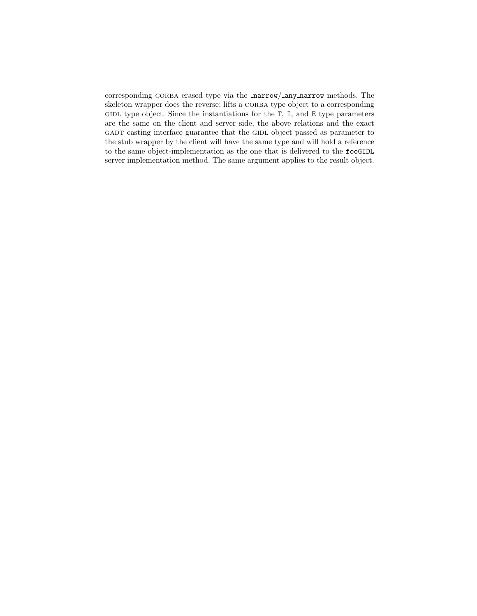corresponding CORBA erased type via the \_narrow/\_any\_narrow methods. The skeleton wrapper does the reverse: lifts a CORBA type object to a corresponding GIDL type object. Since the instantiations for the  $T$ ,  $I$ , and  $E$  type parameters are the same on the client and server side, the above relations and the exact GADT casting interface guarantee that the GIDL object passed as parameter to the stub wrapper by the client will have the same type and will hold a reference to the same object-implementation as the one that is delivered to the fooGIDL server implementation method. The same argument applies to the result object.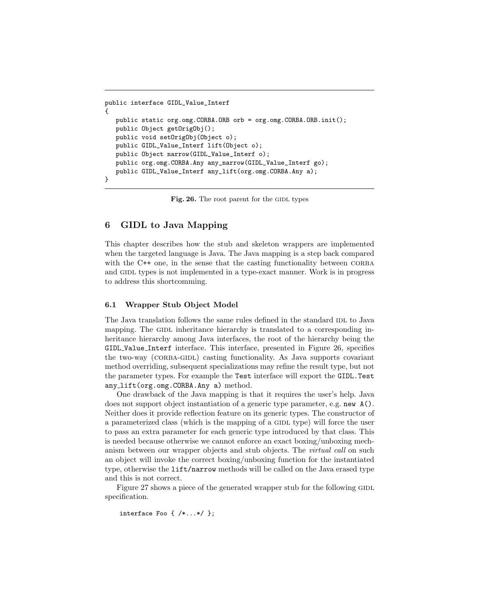```
public interface GIDL_Value_Interf
{
  public static org.omg.CORBA.ORB orb = org.omg.CORBA.ORB.init();
  public Object getOrigObj();
  public void setOrigObj(Object o);
  public GIDL_Value_Interf lift(Object o);
  public Object narrow(GIDL_Value_Interf o);
  public org.omg.CORBA.Any any_narrow(GIDL_Value_Interf go);
  public GIDL_Value_Interf any_lift(org.omg.CORBA.Any a);
}
```
Fig. 26. The root parent for the GIDL types

# 6 GIDL to Java Mapping

This chapter describes how the stub and skeleton wrappers are implemented when the targeted language is Java. The Java mapping is a step back compared with the  $C^{++}$  one, in the sense that the casting functionality between CORBA and GIDL types is not implemented in a type-exact manner. Work is in progress to address this shortcomming.

# 6.1 Wrapper Stub Object Model

The Java translation follows the same rules defined in the standard IDL to Java mapping. The GIDL inheritance hierarchy is translated to a corresponding inheritance hierarchy among Java interfaces, the root of the hierarchy being the GIDL Value Interf interface. This interface, presented in Figure 26, specifies the two-way (CORBA-GIDL) casting functionality. As Java supports covariant method overriding, subsequent specializations may refine the result type, but not the parameter types. For example the Test interface will export the GIDL.Test any lift(org.omg.CORBA.Any a) method.

One drawback of the Java mapping is that it requires the user's help. Java does not support object instantiation of a generic type parameter, e.g. new A(). Neither does it provide reflection feature on its generic types. The constructor of a parameterized class (which is the mapping of a GIDL type) will force the user to pass an extra parameter for each generic type introduced by that class. This is needed because otherwise we cannot enforce an exact boxing/unboxing mechanism between our wrapper objects and stub objects. The virtual call on such an object will invoke the correct boxing/unboxing function for the instantiated type, otherwise the lift/narrow methods will be called on the Java erased type and this is not correct.

Figure 27 shows a piece of the generated wrapper stub for the following GIDL specification.

interface Foo  $\{$  /\*...\*/  $\}$ ;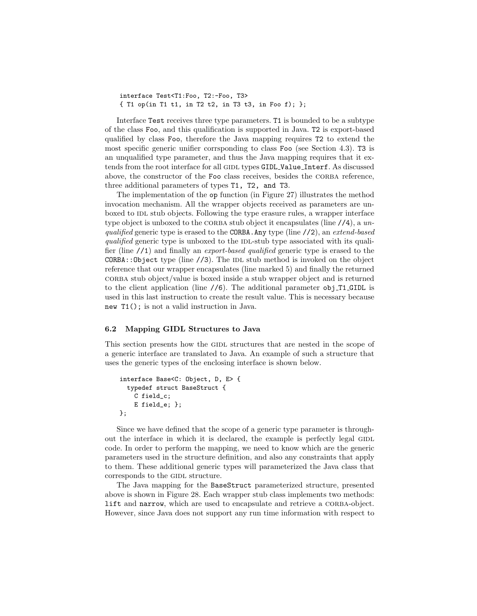```
interface Test<T1:Foo, T2:-Foo, T3>
{ T1 op(in T1 t1, in T2 t2, in T3 t3, in Foo f); };
```
Interface Test receives three type parameters. T1 is bounded to be a subtype of the class Foo, and this qualification is supported in Java. T2 is export-based qualified by class Foo, therefore the Java mapping requires T2 to extend the most specific generic unifier corrsponding to class Foo (see Section 4.3). T3 is an unqualified type parameter, and thus the Java mapping requires that it extends from the root interface for all GIDL types GIDL\_Value\_Interf. As discussed above, the constructor of the Foo class receives, besides the CORBA reference, three additional parameters of types T1, T2, and T3.

The implementation of the op function (in Figure 27) illustrates the method invocation mechanism. All the wrapper objects received as parameters are unboxed to IDL stub objects. Following the type erasure rules, a wrapper interface type object is unboxed to the CORBA stub object it encapsulates (line  $/4$ ), a unqualified generic type is erased to the CORBA. Any type (line  $/2$ ), an extend-based qualified generic type is unboxed to the IDL-stub type associated with its qualifier (line //1) and finally an export-based qualified generic type is erased to the  $CORBA::Object$  type (line  $//3$ ). The IDL stub method is invoked on the object reference that our wrapper encapsulates (line marked 5) and finally the returned corabo stub object/value is boxed inside a stub wrapper object and is returned to the client application (line  $/6$ ). The additional parameter obj\_T1\_GIDL is used in this last instruction to create the result value. This is necessary because new T1(); is not a valid instruction in Java.

#### 6.2 Mapping GIDL Structures to Java

This section presents how the GIDL structures that are nested in the scope of a generic interface are translated to Java. An example of such a structure that uses the generic types of the enclosing interface is shown below.

```
interface Base<C: Object, D, E> {
  typedef struct BaseStruct {
   C field_c;
   E field_e; };
};
```
Since we have defined that the scope of a generic type parameter is throughout the interface in which it is declared, the example is perfectly legal GIDL code. In order to perform the mapping, we need to know which are the generic parameters used in the structure definition, and also any constraints that apply to them. These additional generic types will parameterized the Java class that corresponds to the GIDL structure.

The Java mapping for the BaseStruct parameterized structure, presented above is shown in Figure 28. Each wrapper stub class implements two methods: lift and narrow, which are used to encapsulate and retrieve a CORBA-object. However, since Java does not support any run time information with respect to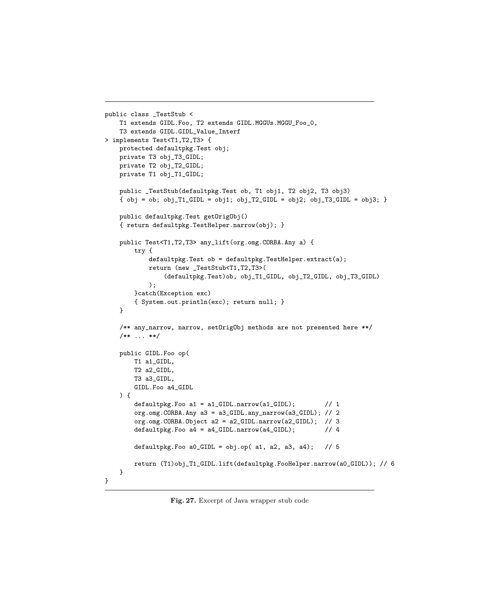```
public class _TestStub <
   T1 extends GIDL.Foo, T2 extends GIDL.MGGUs.MGGU_Foo_0,
   T3 extends GIDL.GIDL_Value_Interf
> implements Test<T1,T2,T3> {
   protected defaultpkg.Test obj;
   private T3 obj_T3_GIDL;
   private T2 obj_T2_GIDL;
   private T1 obj_T1_GIDL;
   public _TestStub(defaultpkg.Test ob, T1 obj1, T2 obj2, T3 obj3)
   { obj = obj, obj_T1_GIDL = obj1; obj_T2_GIDL = obj2; obj_T3_GIDL = obj3; }
   public defaultpkg.Test getOrigObj()
   { return defaultpkg.TestHelper.narrow(obj); }
   public Test<T1,T2,T3> any_lift(org.omg.CORBA.Any a) {
       try {
           defaultpkg.Test ob = defaultpkg.TestHelper.extract(a);
           return (new _TestStub<T1,T2,T3>(
                (defaultpkg.Test)ob, obj_T1_GIDL, obj_T2_GIDL, obj_T3_GIDL)
           );
       }catch(Exception exc)
       { System.out.println(exc); return null; }
   }
   /** any_narrow, narrow, setOrigObj methods are not presented here **/
   /** ... **/
   public GIDL.Foo op(
       T1 a1_GIDL,
       T2 a2_GIDL,
       T3 a3_GIDL,
       GIDL.Foo a4_GIDL
   ) {
       defaultpkg. Foo a1 = a1_GIDL.narrow(a1_GIDL); // 1org.omg.CORBA.Any a3 = a3_GIDL.any_narrow(a3_GIDL); // 2org.omg.CORBA.Object a2 = a2_GIDL.narrow(a2_GIDL); // 3
       defaultpkg.Foo a4 = a4_GIDL.narrow(a4_GIDL); // 4
       defaultpkg. Foo a0_GIDL = obj.op( a1, a2, a3, a4); // 5
       return (T1)obj_T1_GIDL.lift(defaultpkg.FooHelper.narrow(a0_GIDL)); // 6
   }
}
```
Fig. 27. Excerpt of Java wrapper stub code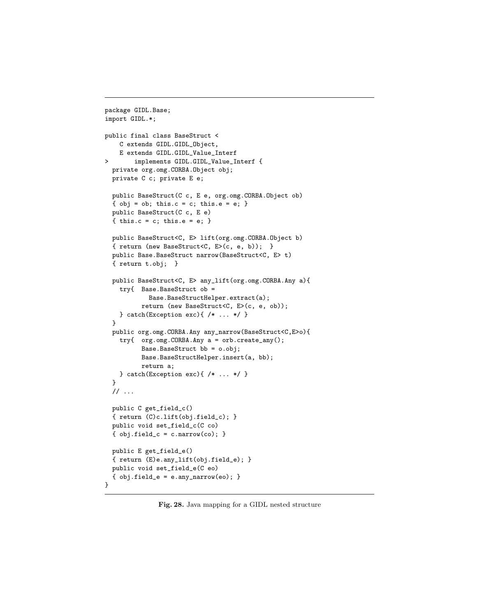```
package GIDL.Base;
import GIDL.*;
public final class BaseStruct <
   C extends GIDL.GIDL_Object,
   E extends GIDL.GIDL_Value_Interf
> implements GIDL.GIDL_Value_Interf {
 private org.omg.CORBA.Object obj;
 private C c; private E e;
 public BaseStruct(C c, E e, org.omg.CORBA.Object ob)
 {obj = ob; this.c = c; this.e = e; }public BaseStruct(C c, E e)
 { this.c = c; this.e = e; }
 public BaseStruct<C, E> lift(org.omg.CORBA.Object b)
  { return (new BaseStruct<C, E>(c, e, b)); }
 public Base.BaseStruct narrow(BaseStruct<C, E> t)
 { return t.obj; }
 public BaseStruct<C, E> any_lift(org.omg.CORBA.Any a){
   try{ Base.BaseStruct ob =
           Base.BaseStructHelper.extract(a);
         return (new BaseStruct<C, E>(c, e, ob));
   } catch(Exception exc){ /* ... */ }
 }
 public org.omg.CORBA.Any any_narrow(BaseStruct<C,E>o){
    try{ org.omg.CORBA.Any a = orb.create_any();
          Base.BaseStruct bb = o.obj;
         Base.BaseStructHelper.insert(a, bb);
         return a;
    } catch(Exception exc){ /* ... */ }
 }
 // ...
 public C get_field_c()
 { return (C)c.lift(obj.field_c); }
 public void set_field_c(C co)
 { obj.field_c = c.narrow(co); }
 public E get_field_e()
  { return (E)e.any_lift(obj.field_e); }
 public void set_field_e(C eo)
  { obj.field_e = e.any_narrow(eo); }
}
```
Fig. 28. Java mapping for a GIDL nested structure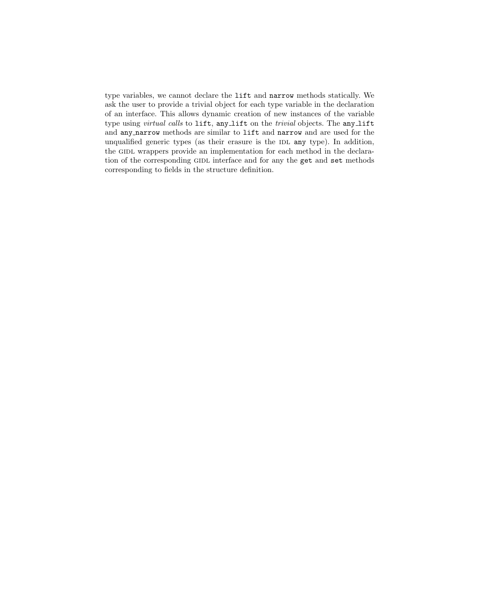type variables, we cannot declare the lift and narrow methods statically. We ask the user to provide a trivial object for each type variable in the declaration of an interface. This allows dynamic creation of new instances of the variable type using virtual calls to lift, any lift on the trivial objects. The any lift and any narrow methods are similar to lift and narrow and are used for the unqualified generic types (as their erasure is the  $IDL$  any type). In addition, the GIDL wrappers provide an implementation for each method in the declaration of the corresponding GIDL interface and for any the get and set methods corresponding to fields in the structure definition.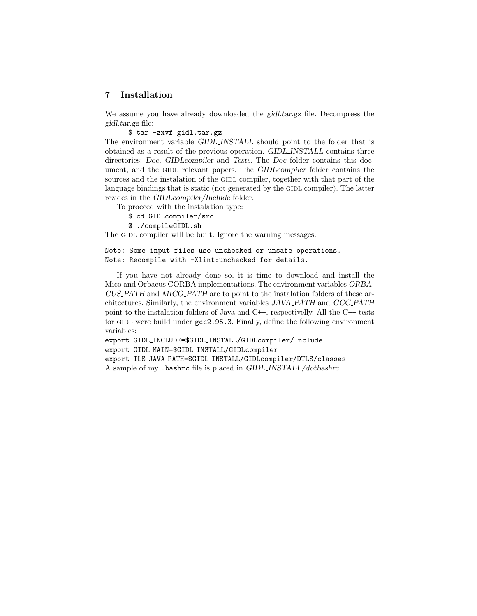# 7 Installation

We assume you have already downloaded the gidl.tar.gz file. Decompress the gidl.tar.gz file:

\$ tar -zxvf gidl.tar.gz

The environment variable GIDL INSTALL should point to the folder that is obtained as a result of the previous operation. GIDL INSTALL contains three directories: Doc, GIDLcompiler and Tests. The Doc folder contains this document, and the GIDL relevant papers. The GIDLcompiler folder contains the sources and the instalation of the GIDL compiler, together with that part of the language bindings that is static (not generated by the GIDL compiler). The latter rezides in the GIDLcompiler/Include folder.

To proceed with the instalation type:

- \$ cd GIDLcompiler/src
- \$ ./compileGIDL.sh

The GIDL compiler will be built. Ignore the warning messages:

Note: Some input files use unchecked or unsafe operations. Note: Recompile with -Xlint:unchecked for details.

If you have not already done so, it is time to download and install the Mico and Orbacus CORBA implementations. The environment variables ORBA-CUS PATH and MICO PATH are to point to the instalation folders of these architectures. Similarly, the environment variables JAVA PATH and GCC PATH point to the instalation folders of Java and C++, respectivelly. All the C++ tests for GIDL were build under  $\text{gcd. } 95.3$ . Finally, define the following environment variables:

export GIDL INCLUDE=\$GIDL INSTALL/GIDLcompiler/Include export GIDL MAIN=\$GIDL INSTALL/GIDLcompiler export TLS JAVA PATH=\$GIDL INSTALL/GIDLcompiler/DTLS/classes A sample of my .bashrc file is placed in GIDL INSTALL/dotbashrc.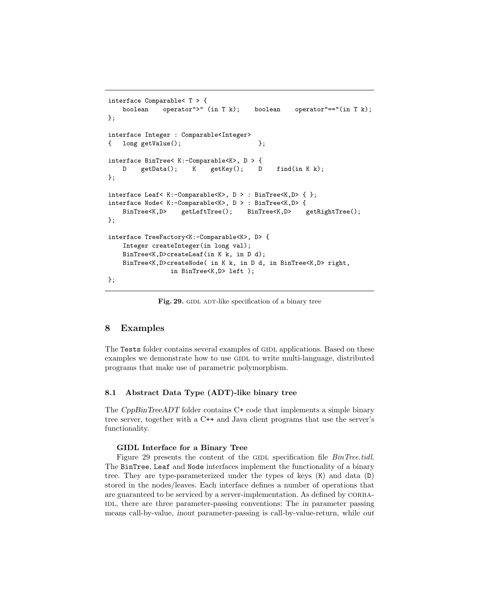```
interface Comparable< T > {
   boolean operator">" (in T k); boolean operator"=="(in T k);
};
interface Integer : Comparable<Integer>
{ long getValue(); };
interface BinTree< K:-Comparable<K>, D > {
   D getData(); K getKey(); D find(in K k);
};
interface Leaf< K:-Comparable<K>, D > : BinTree<K,D> { };
interface Node< K:-Comparable<K>, D > : BinTree<K,D> {
   BinTree<K,D> getLeftTree(); BinTree<K,D> getRightTree();
};
interface TreeFactory<K:-Comparable<K>, D> {
   Integer createInteger(in long val);
   BinTree<K,D>createLeaf(in K k, in D d);
   BinTree<K,D>createNode( in K k, in D d, in BinTree<K,D> right,
               in BinTree<K,D> left );
};
```
Fig. 29. GIDL ADT-like specification of a binary tree

# 8 Examples

The Tests folder contains several examples of GIDL applications. Based on these examples we demonstrate how to use GIDL to write multi-language, distributed programs that make use of parametric polymorphism.

# 8.1 Abstract Data Type (ADT)-like binary tree

The CppBinTreeADT folder contains C+ code that implements a simple binary tree server, together with a C++ and Java client programs that use the server's functionality.

### GIDL Interface for a Binary Tree

Figure 29 presents the content of the GIDL specification file  $BinTree$ .tidl. The BinTree, Leaf and Node interfaces implement the functionality of a binary tree. They are type-parameterized under the types of keys  $(K)$  and data  $(D)$ stored in the nodes/leaves. Each interface defines a number of operations that are guaranteed to be serviced by a server-implementation. As defined by CORBA-IDL, there are three parameter-passing conventions: The in parameter passing means call-by-value, inout parameter-passing is call-by-value-return, while out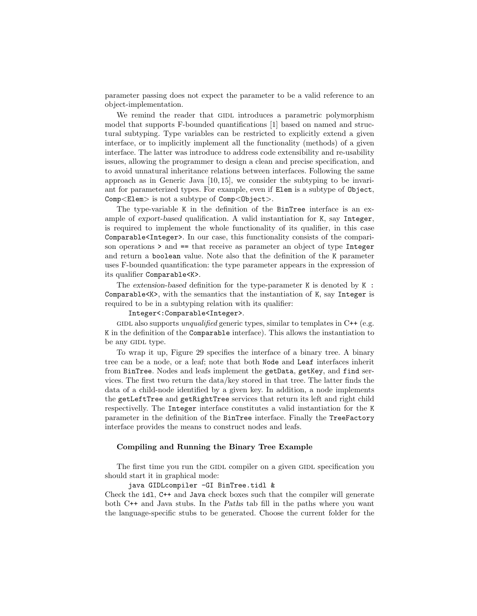parameter passing does not expect the parameter to be a valid reference to an object-implementation.

We remind the reader that GIDL introduces a parametric polymorphism model that supports F-bounded quantifications [1] based on named and structural subtyping. Type variables can be restricted to explicitly extend a given interface, or to implicitly implement all the functionality (methods) of a given interface. The latter was introduce to address code extensibility and re-usability issues, allowing the programmer to design a clean and precise specification, and to avoid unnatural inheritance relations between interfaces. Following the same approach as in Generic Java [10, 15], we consider the subtyping to be invariant for parameterized types. For example, even if Elem is a subtype of Object,  $Comp$  is not a subtype of  $Comp$ .

The type-variable K in the definition of the BinTree interface is an example of export-based qualification. A valid instantiation for K, say Integer, is required to implement the whole functionality of its qualifier, in this case Comparable<Integer>. In our case, this functionality consists of the comparison operations > and == that receive as parameter an object of type Integer and return a boolean value. Note also that the definition of the K parameter uses F-bounded quantification: the type parameter appears in the expression of its qualifier Comparable<K>.

The extension-based definition for the type-parameter K is denoted by K: Comparable<K>, with the semantics that the instantiation of K, say Integer is required to be in a subtyping relation with its qualifier:

Integer<:Comparable<Integer>.

GIDL also supports *unqualified* generic types, similar to templates in  $C++$  (e.g. K in the definition of the Comparable interface). This allows the instantiation to be any GIDL type.

To wrap it up, Figure 29 specifies the interface of a binary tree. A binary tree can be a node, or a leaf; note that both Node and Leaf interfaces inherit from BinTree. Nodes and leafs implement the getData, getKey, and find services. The first two return the data/key stored in that tree. The latter finds the data of a child-node identified by a given key. In addition, a node implements the getLeftTree and getRightTree services that return its left and right child respectivelly. The Integer interface constitutes a valid instantiation for the K parameter in the definition of the BinTree interface. Finally the TreeFactory interface provides the means to construct nodes and leafs.

#### Compiling and Running the Binary Tree Example

The first time you run the GIDL compiler on a given GIDL specification you should start it in graphical mode:

### java GIDLcompiler -GI BinTree.tidl &

Check the idl, C++ and Java check boxes such that the compiler will generate both C++ and Java stubs. In the Paths tab fill in the paths where you want the language-specific stubs to be generated. Choose the current folder for the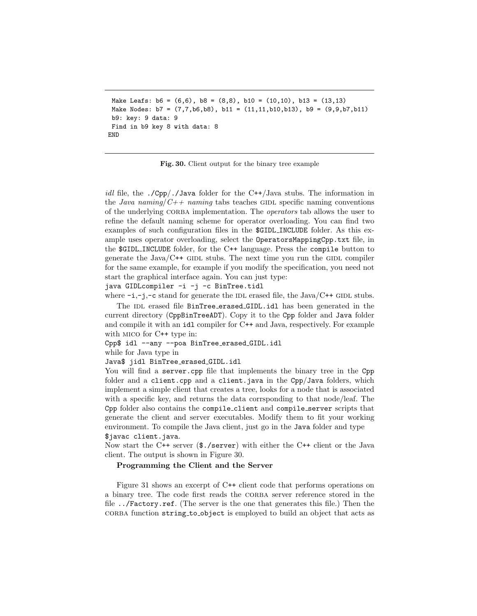```
Make Leafs: b6 = (6,6), b8 = (8,8), b10 = (10,10), b13 = (13,13)Make Nodes: b7 = (7,7,b6,b8), b11 = (11,11,b10,b13), b9 = (9,9,b7,b11)b9: key: 9 data: 9
Find in b9 key 8 with data: 8
END
```
Fig. 30. Client output for the binary tree example

*idl* file, the  $./Cpp/.$  Java folder for the C++/Java stubs. The information in the Java naming/ $C_{++}$  naming tabs teaches GIDL specific naming conventions of the underlying CORBA implementation. The *operators* tab allows the user to refine the default naming scheme for operator overloading. You can find two examples of such configuration files in the \$GIDL INCLUDE folder. As this example uses operator overloading, select the OperatorsMappingCpp.txt file, in the \$GIDL INCLUDE folder, for the C++ language. Press the compile button to generate the  $Java/C++$  GIDL stubs. The next time you run the GIDL compiler for the same example, for example if you modify the specification, you need not start the graphical interface again. You can just type:

java GIDLcompiler -i -j -c BinTree.tidl

where  $-i,-j,-c$  stand for generate the IDL erased file, the Java/C++ GIDL stubs.

The IDL erased file BinTree\_erased\_GIDL.idl has been generated in the current directory (CppBinTreeADT). Copy it to the Cpp folder and Java folder and compile it with an idl compiler for C++ and Java, respectively. For example with mico for C++ type in:

Cpp\$ idl --any --poa BinTree\_erased\_GIDL.idl

while for Java type in

Java\$ jidl BinTree erased GIDL.idl

You will find a server.cpp file that implements the binary tree in the Cpp folder and a client.cpp and a client.java in the Cpp/Java folders, which implement a simple client that creates a tree, looks for a node that is associated with a specific key, and returns the data corrsponding to that node/leaf. The Cpp folder also contains the compile client and compile server scripts that generate the client and server executables. Modify them to fit your working environment. To compile the Java client, just go in the Java folder and type \$javac client.java.

Now start the C++ server (\$./server) with either the C++ client or the Java client. The output is shown in Figure 30.

### Programming the Client and the Server

Figure 31 shows an excerpt of C++ client code that performs operations on a binary tree. The code first reads the CORBA server reference stored in the file ../Factory.ref. (The server is the one that generates this file.) Then the corba function string to object is employed to build an object that acts as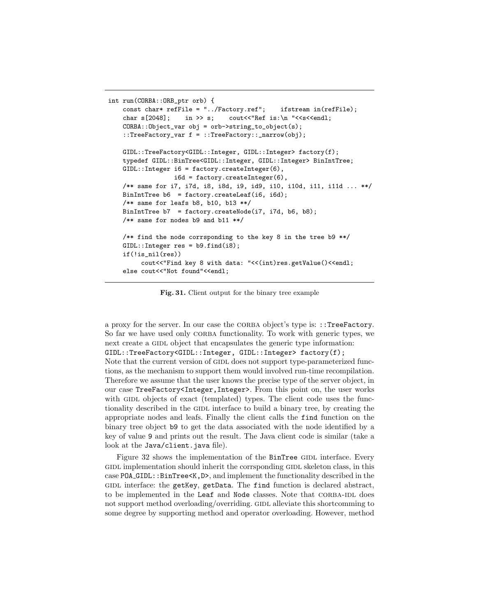```
int run(CORBA::ORB_ptr orb) {
   const char* refFile = "../Factory.ref"; ifstream in(refFile);
   char s[2048]; in >> s; cout<<"Ref is:\n "<<s<<endl;
   CORBA::Object_var obj = orb->string_to_object(s);
   ::TreeFactory_var f = ::TreeFactory::_narrow(obj);
   GIDL::TreeFactory<GIDL::Integer, GIDL::Integer> factory(f);
   typedef GIDL::BinTree<GIDL::Integer, GIDL::Integer> BinIntTree;
   GIDL::Integer i6 = factory.createInteger(6),
                 i6d = factory.createInteger(6),
   /** same for i7, i7d, i8, i8d, i9, id9, i10, i10d, i11, i11d ... **/
   BinIntTree b6 = factory.createLeaf(i6, i6d);
   /** same for leafs b8, b10, b13 **/
   BinIntTree b7 = factory.createNode(i7, i7d, b6, b8);/** same for nodes b9 and b11 **/
   /** find the node corrsponding to the key 8 in the tree b9 **/
   GIDL::Integer res = b9.find(i8);
   if(!is_nil(res))
        cout<<"Find key 8 with data: "<<(int)res.getValue()<<endl;
   else cout<<"Not found"<<endl:
```
Fig. 31. Client output for the binary tree example

a proxy for the server. In our case the CORBA object's type is: ::TreeFactory. So far we have used only CORBA functionality. To work with generic types, we next create a GIDL object that encapsulates the generic type information: GIDL::TreeFactory<GIDL::Integer, GIDL::Integer> factory(f); Note that the current version of GIDL does not support type-parameterized functions, as the mechanism to support them would involved run-time recompilation. Therefore we assume that the user knows the precise type of the server object, in our case TreeFactory<Integer,Integer>. From this point on, the user works with GIDL objects of exact (templated) types. The client code uses the functionality described in the GIDL interface to build a binary tree, by creating the appropriate nodes and leafs. Finally the client calls the find function on the binary tree object b9 to get the data associated with the node identified by a key of value 9 and prints out the result. The Java client code is similar (take a look at the Java/client.java file).

Figure 32 shows the implementation of the BinTree GIDL interface. Every GIDL implementation should inherit the corrsponding GIDL skeleton class, in this case POA GIDL::BinTree<K,D>, and implement the functionality described in the GIDL interface: the getKey, getData. The find function is declared abstract, to be implemented in the Leaf and Node classes. Note that CORBA-IDL does not support method overloading/overriding. GIDL alleviate this shortcomming to some degree by supporting method and operator overloading. However, method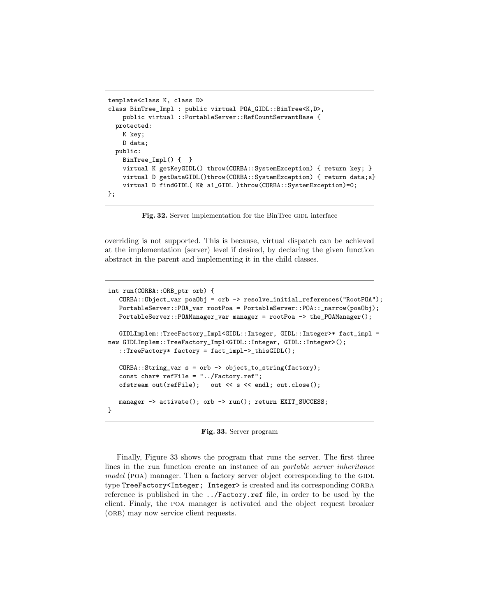```
template<class K, class D>
class BinTree_Impl : public virtual POA_GIDL::BinTree<K,D>,
    public virtual ::PortableServer::RefCountServantBase {
 protected:
    K key;
    D data;
 public:
    BinTree_Impl() { }
    virtual K getKeyGIDL() throw(CORBA::SystemException) { return key; }
    virtual D getDataGIDL()throw(CORBA::SystemException) { return data;s}
    virtual D findGIDL( K& a1_GIDL )throw(CORBA::SystemException)=0;
};
```
Fig. 32. Server implementation for the BinTree GIDL interface

overriding is not supported. This is because, virtual dispatch can be achieved at the implementation (server) level if desired, by declaring the given function abstract in the parent and implementing it in the child classes.

```
int run(CORBA::ORB_ptr orb) {
   CORBA::Object_var poaObj = orb -> resolve_initial_references("RootPOA");
   PortableServer::POA_var rootPoa = PortableServer::POA::_narrow(poaObj);
  PortableServer::POAManager_var manager = rootPoa -> the_POAManager();
   GIDLImplem::TreeFactory_Impl<GIDL::Integer, GIDL::Integer>* fact_impl =
new GIDLImplem::TreeFactory_Impl<GIDL::Integer, GIDL::Integer>();
   ::TreeFactory* factory = fact_impl->_thisGIDL();
   CORBA::String_var s = orb -> object_to_string(factory);
   const char* refFile = "../Factory.ref";
   ofstream out(refFile); out << s << endl; out.close();
  manager -> activate(); orb -> run(); return EXIT_SUCCESS;
}
```
# Fig. 33. Server program

Finally, Figure 33 shows the program that runs the server. The first three lines in the run function create an instance of an portable server inheritance model (POA) manager. Then a factory server object corresponding to the GIDL type TreeFactory<Integer; Integer> is created and its corresponding CORBA reference is published in the ../Factory.ref file, in order to be used by the client. Finaly, the poa manager is activated and the object request broaker (ORB) may now service client requests.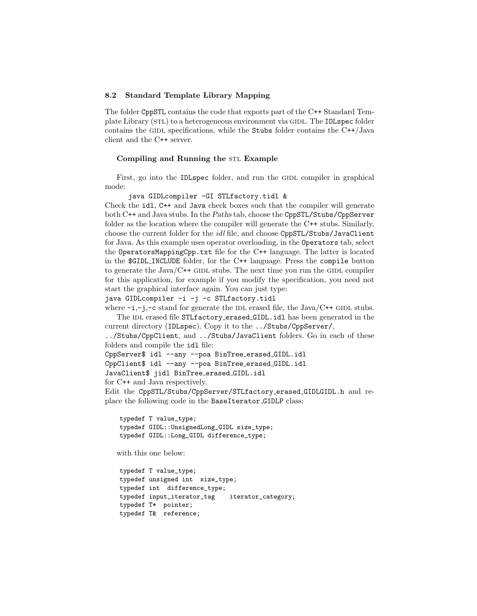### 8.2 Standard Template Library Mapping

The folder CppSTL contains the code that exports part of the C++ Standard Template Library (STL) to a heterogeneous environment via GIDL. The IDLspec folder contains the GIDL specifications, while the Stubs folder contains the  $C++/Java$ client and the C++ server.

### Compiling and Running the STL Example

First, go into the IDLspec folder, and run the GIDL compiler in graphical mode:

# java GIDLcompiler -GI STLfactory.tidl &

Check the idl, C++ and Java check boxes such that the compiler will generate both C++ and Java stubs. In the Paths tab, choose the CppSTL/Stubs/CppServer folder as the location where the compiler will generate the C++ stubs. Similarly, choose the current folder for the idl file, and choose CppSTL/Stubs/JavaClient for Java. As this example uses operator overloading, in the Operators tab, select the OperatorsMappingCpp.txt file for the C++ language. The latter is located in the \$GIDL INCLUDE folder, for the C++ language. Press the compile button to generate the Java/ $C^{++}$  GIDL stubs. The next time you run the GIDL compiler for this application, for example if you modify the specification, you need not start the graphical interface again. You can just type:

java GIDLcompiler -i -j -c STLfactory.tidl

where  $-i,-j,-c$  stand for generate the IDL erased file, the Java/C++ GIDL stubs. The IDL erased file STLfactory\_erased\_GIDL.idl has been generated in the current directory (IDLspec). Copy it to the ../Stubs/CppServer/,

../Stubs/CppClient, and ../Stubs/JavaClient folders. Go in each of these folders and compile the idl file:

CppServer\$ idl --any --poa BinTree erased GIDL.idl

CppClient\$ idl --any --poa BinTree erased GIDL.idl

JavaClient\$ jidl BinTree erased GIDL.idl

for C++ and Java respectively.

Edit the CppSTL/Stubs/CppServer/STLfactory erased GIDLGIDL.h and replace the following code in the BaseIterator GIDLP class:

```
typedef T value_type;
typedef GIDL::UnsignedLong_GIDL size_type;
typedef GIDL::Long_GIDL difference_type;
```
with this one below:

```
typedef T value_type;
typedef unsigned int size_type;
typedef int difference_type;
typedef input_iterator_tag iterator_category;
typedef T* pointer;
typedef T& reference;
```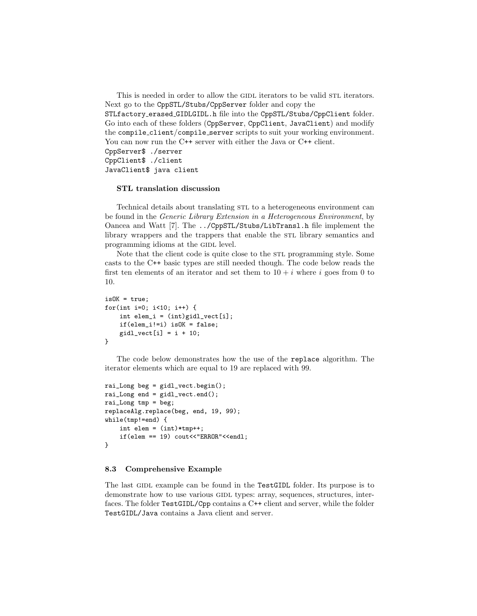This is needed in order to allow the GIDL iterators to be valid STL iterators. Next go to the CppSTL/Stubs/CppServer folder and copy the

STLfactory erased GIDLGIDL.h file into the CppSTL/Stubs/CppClient folder. Go into each of these folders (CppServer, CppClient, JavaClient) and modify the compile client/compile server scripts to suit your working environment. You can now run the C++ server with either the Java or C++ client. CppServer\$ ./server

```
CppClient$ ./client
```
JavaClient\$ java client

# STL translation discussion

Technical details about translating stl to a heterogeneous environment can be found in the Generic Library Extension in a Heterogeneous Environment, by Oancea and Watt [7]. The ../CppSTL/Stubs/LibTransl.h file implement the library wrappers and the trappers that enable the STL library semantics and programming idioms at the GIDL level.

Note that the client code is quite close to the STL programming style. Some casts to the C++ basic types are still needed though. The code below reads the first ten elements of an iterator and set them to  $10 + i$  where i goes from 0 to 10.

```
is<sub>O</sub>K = true;
for(int i=0; i<10; i++) {
    int elem_i = (int)gidl_vect[i];
    if(elem_i!=i) isOK = false;
    gridLvect[i] = i + 10;}
```
The code below demonstrates how the use of the replace algorithm. The iterator elements which are equal to 19 are replaced with 99.

```
rai_Long beg = gidl_vect.begin();
rai_Long end = gidl_vect.end();
rai_Long tmp = beg;
replaceAlg.replace(beg, end, 19, 99);
while(tmp!=end) {
    int elem = (int)*tmp++;if(elem == 19) cout<<"ERROR"<<endl;
}
```
# 8.3 Comprehensive Example

The last GIDL example can be found in the TestGIDL folder. Its purpose is to demonstrate how to use various GIDL types: array, sequences, structures, interfaces. The folder TestGIDL/Cpp contains a C++ client and server, while the folder TestGIDL/Java contains a Java client and server.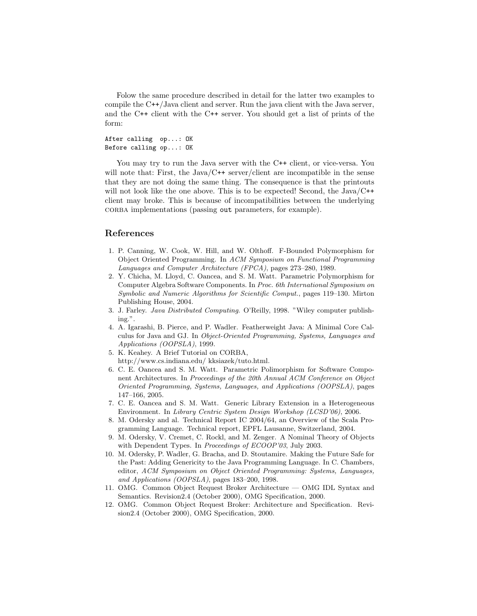Folow the same procedure described in detail for the latter two examples to compile the C++/Java client and server. Run the java client with the Java server, and the C++ client with the C++ server. You should get a list of prints of the form:

#### After calling op...: OK Before calling op...: OK

You may try to run the Java server with the C++ client, or vice-versa. You will note that: First, the Java/C++ server/client are incompatible in the sense that they are not doing the same thing. The consequence is that the printouts will not look like the one above. This is to be expected! Second, the Java/C++ client may broke. This is because of incompatibilities between the underlying corba implementations (passing out parameters, for example).

# References

- 1. P. Canning, W. Cook, W. Hill, and W. Olthoff. F-Bounded Polymorphism for Object Oriented Programming. In ACM Symposium on Functional Programming Languages and Computer Architecture (FPCA), pages 273–280, 1989.
- 2. Y. Chicha, M. Lloyd, C. Oancea, and S. M. Watt. Parametric Polymorphism for Computer Algebra Software Components. In Proc. 6th International Symposium on Symbolic and Numeric Algorithms for Scientific Comput., pages 119–130. Mirton Publishing House, 2004.
- 3. J. Farley. Java Distributed Computing. O'Reilly, 1998. "Wiley computer publishing.".
- 4. A. Igarashi, B. Pierce, and P. Wadler. Featherweight Java: A Minimal Core Calculus for Java and GJ. In Object-Oriented Programming, Systems, Languages and Applications (OOPSLA), 1999.
- 5. K. Keahey. A Brief Tutorial on CORBA, http://www.cs.indiana.edu/ kksiazek/tuto.html.
- 6. C. E. Oancea and S. M. Watt. Parametric Polimorphism for Software Component Architectures. In Proceedings of the 20th Annual ACM Conference on Object Oriented Programming, Systems, Languages, and Applications (OOPSLA), pages 147–166, 2005.
- 7. C. E. Oancea and S. M. Watt. Generic Library Extension in a Heterogeneous Environment. In Library Centric System Design Workshop (LCSD'06), 2006.
- 8. M. Odersky and al. Technical Report IC 2004/64, an Overview of the Scala Programming Language. Technical report, EPFL Lausanne, Switzerland, 2004.
- 9. M. Odersky, V. Cremet, C. Rockl, and M. Zenger. A Nominal Theory of Objects with Dependent Types. In Proceedings of ECOOP'03, July 2003.
- 10. M. Odersky, P. Wadler, G. Bracha, and D. Stoutamire. Making the Future Safe for the Past: Adding Genericity to the Java Programming Language. In C. Chambers, editor, ACM Symposium on Object Oriented Programming: Systems, Languages, and Applications (OOPSLA), pages 183–200, 1998.
- 11. OMG. Common Object Request Broker Architecture OMG IDL Syntax and Semantics. Revision2.4 (October 2000), OMG Specification, 2000.
- 12. OMG. Common Object Request Broker: Architecture and Specification. Revision2.4 (October 2000), OMG Specification, 2000.